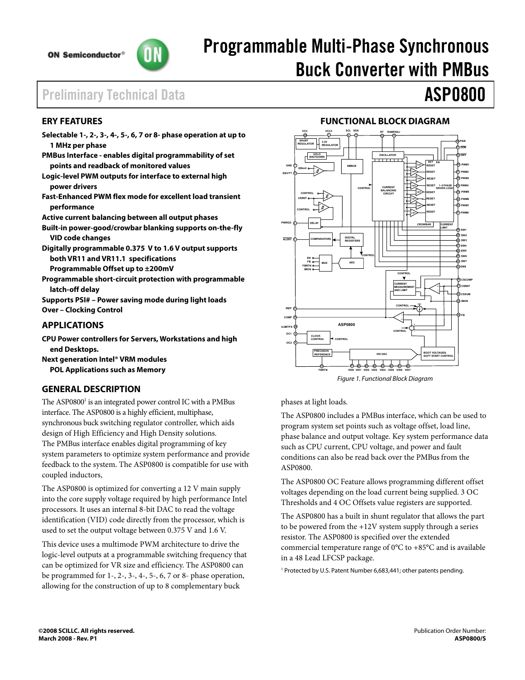

# Programmable Multi-Phase Synchronous Buck Converter with PMBus

# Preliminary Technical Data **ASP0800**

# **ERY FEATURES**

- **Selectable 1-, 2-, 3-, 4-, 5-, 6, 7 or 8- phase operation at up to 1 MHz per phase**
- **PMBus Interface enables digital programmability of set points and readback of monitored values**
- **Logic-level PWM outputs for interface to external high power drivers**
- **Fast-Enhanced PWM flex mode for excellent load transient performance**

**Active current balancing between all output phases** 

- **Built-in power-good/crowbar blanking supports on-the-fly VID code changes**
- **Digitally programmable 0.375 V to 1.6 V output supports both VR11 and VR11.1 specifications**

**Programmable Offset up to ±200mV** 

**Programmable short-circuit protection with programmable latch-off delay** 

**Supports PSI# – Power saving mode during light loads Over – Clocking Control** 

# **APPLICATIONS**

- **CPU Power controllers for Servers, Workstations and high end Desktops.**
- **Next generation Intel® VRM modules POL Applications such as Memory**

# **GENERAL DESCRIPTION**

The ASP0800<sup>1</sup> is an integrated power control IC with a PMBus interface. The ASP0800 is a highly efficient, multiphase, synchronous buck switching regulator controller, which aids design of High Efficiency and High Density solutions. The PMBus interface enables digital programming of key system parameters to optimize system performance and provide feedback to the system. The ASP0800 is compatible for use with coupled inductors,

The ASP0800 is optimized for converting a 12 V main supply into the core supply voltage required by high performance Intel processors. It uses an internal 8-bit DAC to read the voltage identification (VID) code directly from the processor, which is used to set the output voltage between 0.375 V and 1.6 V.

This device uses a multimode PWM architecture to drive the logic-level outputs at a programmable switching frequency that can be optimized for VR size and efficiency. The ASP0800 can be programmed for 1-, 2-, 3-, 4-, 5-, 6, 7 or 8- phase operation, allowing for the construction of up to 8 complementary buck

# **FUNCTIONAL BLOCK DIAGRAM**



*Figure 1. Functional Block Diagram*

## phases at light loads.

The ASP0800 includes a PMBus interface, which can be used to program system set points such as voltage offset, load line, phase balance and output voltage. Key system performance data such as CPU current, CPU voltage, and power and fault conditions can also be read back over the PMBus from the ASP0800.

The ASP0800 OC Feature allows programming different offset voltages depending on the load current being supplied. 3 OC Thresholds and 4 OC Offsets value registers are supported.

The ASP0800 has a built in shunt regulator that allows the part to be powered from the +12V system supply through a series resistor. The ASP0800 is specified over the extended commercial temperature range of 0°C to +85°C and is available in a 48 Lead LFCSP package.

<sup>1</sup> Protected by U.S. Patent Number 6,683,441; other patents pending.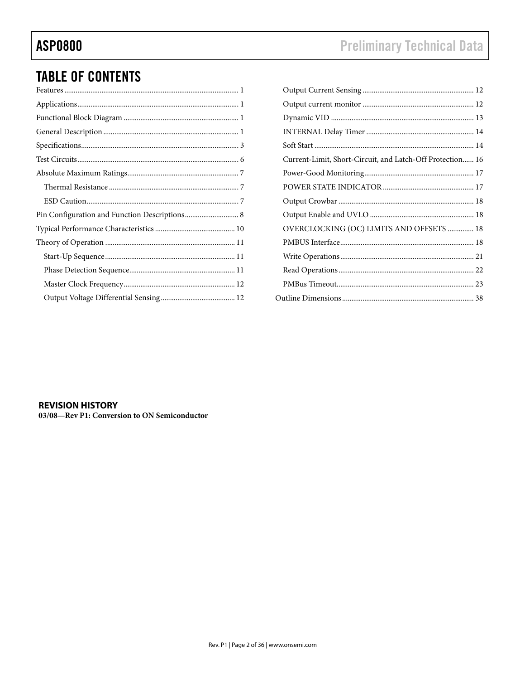# **ASP0800**

# **TABLE OF CONTENTS**

| Current-Limit, Short-Circuit, and Latch-Off Protection 16 |  |
|-----------------------------------------------------------|--|
|                                                           |  |
|                                                           |  |
|                                                           |  |
|                                                           |  |
| OVERCLOCKING (OC) LIMITS AND OFFSETS  18                  |  |
|                                                           |  |
|                                                           |  |
|                                                           |  |
|                                                           |  |
|                                                           |  |

## **REVISION HISTORY**

03/08-Rev P1: Conversion to ON Semiconductor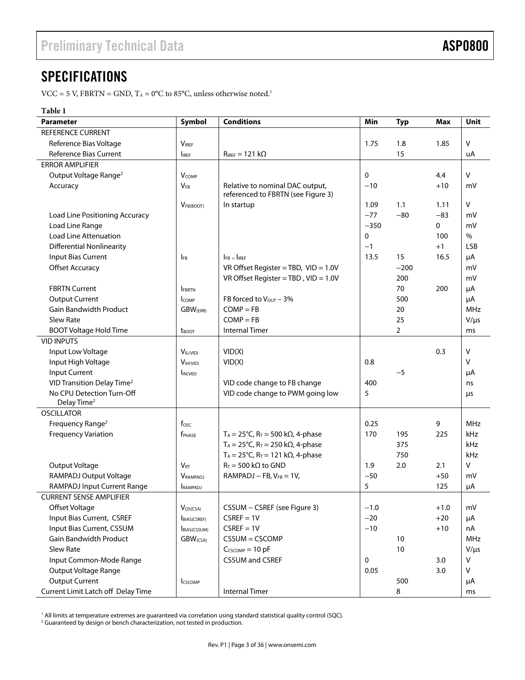# **SPECIFICATIONS**

VCC = 5 V, FBRTN = GND,  $T_A = 0$ °C to 85°C, unless otherwise noted.<sup>1</sup>

## **Table 1**

| <b>Parameter</b>                       | Symbol                      | <b>Conditions</b>                                                     | Min         | <b>Typ</b>     | <b>Max</b> | Unit       |
|----------------------------------------|-----------------------------|-----------------------------------------------------------------------|-------------|----------------|------------|------------|
| <b>REFERENCE CURRENT</b>               |                             |                                                                       |             |                |            |            |
| Reference Bias Voltage                 | <b>VIREF</b>                |                                                                       | 1.75        | 1.8            | 1.85       | V          |
| Reference Bias Current                 | <b>I</b> IREF               | $R_{IREF} = 121 k\Omega$                                              |             | 15             |            | uA         |
| <b>ERROR AMPLIFIER</b>                 |                             |                                                                       |             |                |            |            |
| Output Voltage Range <sup>2</sup>      | $V_{COMP}$                  |                                                                       | $\mathbf 0$ |                | 4.4        | v          |
| Accuracy                               | $V_{FB}$                    | Relative to nominal DAC output,<br>referenced to FBRTN (see Figure 3) | $-10$       |                | $+10$      | mV         |
|                                        | $V_{FB(BOOT)}$              | In startup                                                            | 1.09        | 1.1            | 1.11       | $\vee$     |
| Load Line Positioning Accuracy         |                             |                                                                       | $-77$       | $-80$          | $-83$      | mV         |
| Load Line Range                        |                             |                                                                       | $-350$      |                | 0          | mV         |
| <b>Load Line Attenuation</b>           |                             |                                                                       | 0           |                | 100        | $\%$       |
| <b>Differential Nonlinearity</b>       |                             |                                                                       | $-1$        |                | $+1$       | <b>LSB</b> |
| Input Bias Current                     | <b>IFB</b>                  | $I_{FB}$ = $I_{IREF}$                                                 | 13.5        | 15             | 16.5       | μA         |
| <b>Offset Accuracy</b>                 |                             | VR Offset Register = TBD, $VID = 1.0V$                                |             | $-200$         |            | mV         |
|                                        |                             | VR Offset Register = TBD, $VID = 1.0V$                                |             | 200            |            | mV         |
| <b>FBRTN Current</b>                   | <b>FBRTN</b>                |                                                                       |             | 70             | 200        | μA         |
| <b>Output Current</b>                  | <b>COMP</b>                 | FB forced to $V_{\text{OUT}} - 3\%$                                   |             | 500            |            | μA         |
| <b>Gain Bandwidth Product</b>          | <b>GBW</b> (ERR)            | $COMP = FB$                                                           |             | 20             |            | MHz        |
| Slew Rate                              |                             | $COMP = FR$                                                           |             | 25             |            | $V/\mu s$  |
| <b>BOOT Voltage Hold Time</b>          | <b>t</b> boot               | <b>Internal Timer</b>                                                 |             | $\overline{2}$ |            | ms         |
| <b>VID INPUTS</b>                      |                             |                                                                       |             |                |            |            |
| Input Low Voltage                      | $V_{IL(VID)}$               | VID(X)                                                                |             |                | 0.3        | v          |
| Input High Voltage                     | V <sub>IH(VID)</sub>        | VID(X)                                                                | 0.8         |                |            | $\vee$     |
| <b>Input Current</b>                   | $I_{IN(VID)}$               |                                                                       |             | $-5$           |            | μA         |
| VID Transition Delay Time <sup>2</sup> |                             | VID code change to FB change                                          | 400         |                |            | ns         |
| No CPU Detection Turn-Off              |                             | VID code change to PWM going low                                      | 5           |                |            | μs         |
| Delay Time <sup>2</sup>                |                             |                                                                       |             |                |            |            |
| <b>OSCILLATOR</b>                      |                             |                                                                       |             |                |            |            |
| Frequency Range <sup>2</sup>           | fosc                        |                                                                       | 0.25        |                | 9          | <b>MHz</b> |
| <b>Frequency Variation</b>             | f <sub>PHASE</sub>          | T <sub>A</sub> = 25°C, R <sub>T</sub> = 500 k $\Omega$ , 4-phase      | 170         | 195            | 225        | kHz        |
|                                        |                             | T <sub>A</sub> = 25°C, R <sub>T</sub> = 250 k $\Omega$ , 4-phase      |             | 375            |            | kHz        |
|                                        |                             | $T_A = 25^{\circ}C$ , R <sub>T</sub> = 121 kΩ, 4-phase                |             | 750            |            | kHz        |
| Output Voltage                         | <b>V<sub>RT</sub></b>       | $R_T = 500 \text{ k}\Omega$ to GND                                    | 1.9         | 2.0            | 2.1        | $\vee$     |
| RAMPADJ Output Voltage                 | <b>VRAMPADJ</b>             | $RAMPADJ - FB, V_{FB} = 1V,$                                          | $-50$       |                | $+50$      | mV         |
| RAMPADJ Input Current Range            | RAMPADJ                     |                                                                       | 5           |                | 125        | μA         |
| <b>CURRENT SENSE AMPLIFIER</b>         |                             |                                                                       |             |                |            |            |
| Offset Voltage                         | VOS(CSA)                    | CSSUM - CSREF (see Figure 3)                                          | $-1.0$      |                | $+1.0$     | mV         |
| Input Bias Current, CSREF              | BIAS(CSREF)                 | $CSREF = 1V$                                                          | $-20$       |                | $+20$      | μA         |
| Input Bias Current, CSSUM              | BIAS(CSSUM)                 | $CSREF = 1V$                                                          | $-10$       |                | $+10$      | nA         |
| Gain Bandwidth Product                 | <b>GBW</b> <sub>(CSA)</sub> | CSSUM = CSCOMP                                                        |             | $10$           |            | MHz        |
| Slew Rate                              |                             | $C_{CSCOMP} = 10 pF$                                                  |             | $10$           |            | $V/\mu s$  |
| Input Common-Mode Range                |                             | <b>CSSUM and CSREF</b>                                                | $\mathbf 0$ |                | 3.0        | ٧          |
| Output Voltage Range                   |                             |                                                                       | 0.05        |                | 3.0        | V          |
| <b>Output Current</b>                  | <b>ICSCOMP</b>              |                                                                       |             | 500            |            | μA         |
| Current Limit Latch off Delay Time     |                             | <b>Internal Timer</b>                                                 |             | 8              |            | ms         |

<sup>1</sup> All limits at temperature extremes are guaranteed via correlation using standard statistical quality control (SQC).<br><sup>2</sup> Guaranteed by design or bench characterization, not tested in production.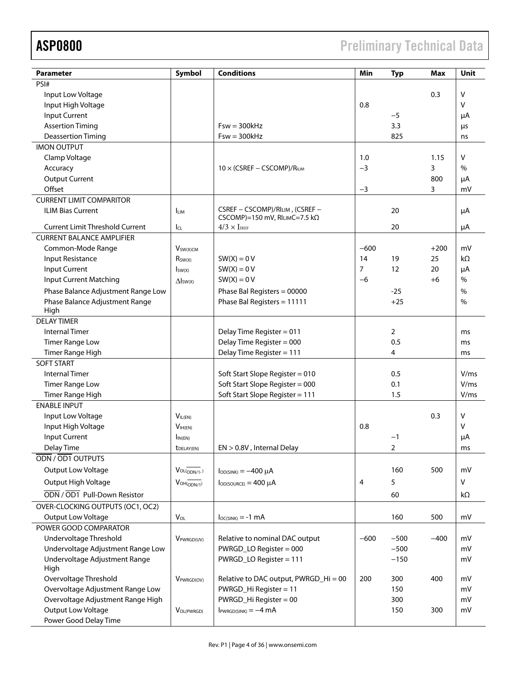ASP0800 Preliminary Technical Data

| <b>Parameter</b>                       | Symbol                         | <b>Conditions</b>                     | Min    | <b>Typ</b> | Max    | Unit         |
|----------------------------------------|--------------------------------|---------------------------------------|--------|------------|--------|--------------|
| PSI#                                   |                                |                                       |        |            |        |              |
| Input Low Voltage                      |                                |                                       |        |            | 0.3    | $\vee$       |
| Input High Voltage                     |                                |                                       | 0.8    |            |        | $\vee$       |
| <b>Input Current</b>                   |                                |                                       |        | $-5$       |        | μA           |
| <b>Assertion Timing</b>                |                                | $Fsw = 300kHz$                        |        | 3.3        |        | μs           |
| <b>Deassertion Timing</b>              |                                | $Fsw = 300kHz$                        |        | 825        |        | ns           |
| <b>IMON OUTPUT</b>                     |                                |                                       |        |            |        |              |
| Clamp Voltage                          |                                |                                       | 1.0    |            | 1.15   | V            |
| Accuracy                               |                                | $10 \times (CSREF - CSCOMP)/R_{ILIM}$ | $-3$   |            | 3      | $\%$         |
| <b>Output Current</b>                  |                                |                                       |        |            | 800    | μA           |
| Offset                                 |                                |                                       | $-3$   |            | 3      | mV           |
| <b>CURRENT LIMIT COMPARITOR</b>        |                                |                                       |        |            |        |              |
| <b>ILIM Bias Current</b>               | <b>ILIM</b>                    | CSREF - CSCOMP)/RILIM, (CSREF -       |        | 20         |        | μA           |
|                                        |                                | CSCOMP)=150 mV, RILIMC=7.5 k $\Omega$ |        |            |        |              |
| <b>Current Limit Threshold Current</b> | IcL                            | $4/3 \times I_{IREF}$                 |        | 20         |        | μA           |
| <b>CURRENT BALANCE AMPLIFIER</b>       |                                |                                       |        |            |        |              |
| Common-Mode Range                      | <b>V</b> sw(X)CM               |                                       | $-600$ |            | $+200$ | mV           |
| <b>Input Resistance</b>                | R <sub>SW(X)</sub>             | $SW(X) = 0 V$                         | 14     | 19         | 25     | kΩ           |
| Input Current                          | $I_{SW(X)}$                    | $SW(X) = 0 V$                         | 7      | 12         | 20     | μA           |
| <b>Input Current Matching</b>          | $\Delta$ <sub>sw(x)</sub>      | $SW(X) = 0 V$                         | $-6$   |            | $+6$   | %            |
| Phase Balance Adjustment Range Low     |                                | Phase Bal Registers = 00000           |        | $-25$      |        | $\%$         |
| Phase Balance Adjustment Range         |                                | Phase Bal Registers = 11111           |        | $+25$      |        | $\%$         |
| High                                   |                                |                                       |        |            |        |              |
| <b>DELAY TIMER</b>                     |                                |                                       |        |            |        |              |
| <b>Internal Timer</b>                  |                                | Delay Time Register = 011             |        | 2          |        | ms           |
| <b>Timer Range Low</b>                 |                                | Delay Time Register = 000             |        | 0.5        |        | ms           |
| <b>Timer Range High</b>                |                                | Delay Time Register = 111             |        | 4          |        | ms           |
| <b>SOFT START</b>                      |                                |                                       |        |            |        |              |
| <b>Internal Timer</b>                  |                                | Soft Start Slope Register = 010       |        | 0.5        |        | V/ms         |
| <b>Timer Range Low</b>                 |                                | Soft Start Slope Register = 000       |        | 0.1        |        | V/ms         |
| <b>Timer Range High</b>                |                                | Soft Start Slope Register = 111       |        | 1.5        |        | V/ms         |
| <b>ENABLE INPUT</b>                    |                                |                                       |        |            |        |              |
|                                        |                                |                                       |        |            |        |              |
| Input Low Voltage                      | $V_{IL(EN)}$                   |                                       |        |            | 0.3    | V<br>$\vee$  |
| Input High Voltage                     | $V_{\mathsf{IH}(\mathsf{EN})}$ |                                       | 0.8    |            |        |              |
| <b>Input Current</b>                   | $\mathsf{In}(EN)$              |                                       |        | $-1$       |        | μA           |
| Delay Time                             | <b><i>LDELAY(EN)</i></b>       | EN > 0.8V, Internal Delay             |        | 2          |        | ms           |
| ODN / OD1 OUTPUTS                      |                                |                                       |        |            |        |              |
| Output Low Voltage                     | $Vol(_{ODN/1}$                 | $I_{OD(SINK)} = -400 \mu A$           |        | 160        | 500    | mV           |
| Output High Voltage                    | $V_{OH(ODN/1)}$                | $I_{OD(SOURCE)} = 400 \mu A$          | 4      | 5          |        | $\mathsf{V}$ |
| ODN / OD1 Pull-Down Resistor           |                                |                                       |        | 60         |        | kΩ           |
| OVER-CLOCKING OUTPUTS (OC1, OC2)       |                                |                                       |        |            |        |              |
| Output Low Voltage                     | $V_{OL}$                       | $I_{OC(SINK)} = -1$ mA                |        | 160        | 500    | mV           |
| POWER GOOD COMPARATOR                  |                                |                                       |        |            |        |              |
| Undervoltage Threshold                 | VPWRGD(UV)                     | Relative to nominal DAC output        | $-600$ | $-500$     | $-400$ | mV           |
| Undervoltage Adjustment Range Low      |                                | PWRGD_LO Register = 000               |        | $-500$     |        | mV           |
| Undervoltage Adjustment Range          |                                | PWRGD_LO Register = 111               |        | $-150$     |        | mV           |
| High                                   |                                |                                       |        |            |        |              |
| Overvoltage Threshold                  | $V_{PWRGD(OV)}$                | Relative to DAC output, PWRGD_Hi = 00 | 200    | 300        | 400    | mV           |
| Overvoltage Adjustment Range Low       |                                | PWRGD_Hi Register = 11                |        | 150        |        | mV           |
| Overvoltage Adjustment Range High      |                                | PWRGD_Hi Register = 00                |        | 300        |        | mV           |
| Output Low Voltage                     | VOL(PWRGD)                     | $I_{PWRGD(SINK)} = -4 mA$             |        | 150        | 300    | mV           |
| Power Good Delay Time                  |                                |                                       |        |            |        |              |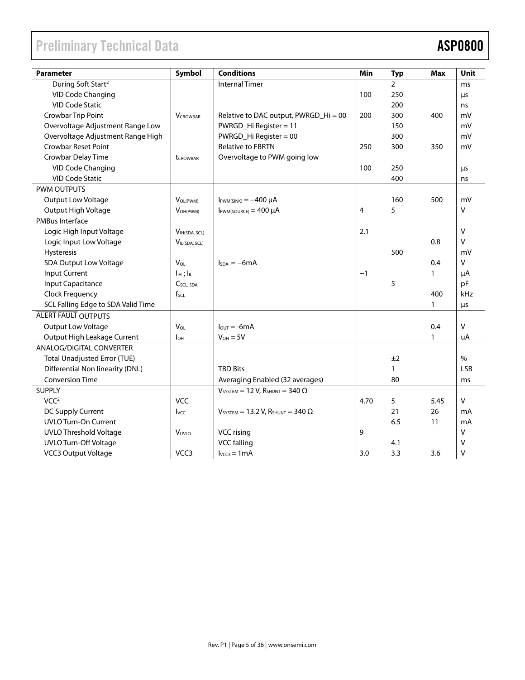# Preliminary Technical Data **ASP0800**

| <b>Parameter</b>                    | Symbol                | <b>Conditions</b>                                                      | Min  | <b>Typ</b>   | <b>Max</b>   | Unit         |
|-------------------------------------|-----------------------|------------------------------------------------------------------------|------|--------------|--------------|--------------|
| During Soft Start <sup>2</sup>      |                       | <b>Internal Timer</b>                                                  |      | 2            |              | ms           |
| <b>VID Code Changing</b>            |                       |                                                                        | 100  | 250          |              | μs           |
| <b>VID Code Static</b>              |                       |                                                                        |      | 200          |              | ns           |
| Crowbar Trip Point                  | <b>VCROWBAR</b>       | Relative to DAC output, PWRGD_Hi = 00                                  | 200  | 300          | 400          | mV           |
| Overvoltage Adjustment Range Low    |                       | PWRGD_Hi Register = 11                                                 |      | 150          |              | mV           |
| Overvoltage Adjustment Range High   |                       | PWRGD_Hi Register = 00                                                 |      | 300          |              | mV           |
| <b>Crowbar Reset Point</b>          |                       | <b>Relative to FBRTN</b>                                               | 250  | 300          | 350          | mV           |
| Crowbar Delay Time                  | <b>t</b> CROWBAR      | Overvoltage to PWM going low                                           |      |              |              |              |
| <b>VID Code Changing</b>            |                       |                                                                        | 100  | 250          |              | μs           |
| <b>VID Code Static</b>              |                       |                                                                        |      | 400          |              | ns           |
| <b>PWM OUTPUTS</b>                  |                       |                                                                        |      |              |              |              |
| <b>Output Low Voltage</b>           | VOL(PWM)              | $I_{\text{PWM(SINK)}} = -400 \mu A$                                    |      | 160          | 500          | mV           |
| Output High Voltage                 | VOH(PWM)              | $I_{\text{PWM(SOURCE)}} = 400 \mu A$                                   | 4    | 5            |              | V            |
| PMBus Interface                     |                       |                                                                        |      |              |              |              |
| Logic High Input Voltage            | VIH(SDA, SCL)         |                                                                        | 2.1  |              |              | $\vee$       |
| Logic Input Low Voltage             | VIL(SDA, SCL)         |                                                                        |      |              | 0.8          | $\vee$       |
| Hysteresis                          |                       |                                                                        |      | 500          |              | mV           |
| <b>SDA Output Low Voltage</b>       | $V_{OL}$              | $I_{SDA} = -6mA$                                                       |      |              | 0.4          | V            |
| <b>Input Current</b>                | $IIH$ ; $IIL$         |                                                                        | $-1$ |              | 1            | μA           |
| Input Capacitance                   | $C_{SCL, SDA}$        |                                                                        |      | 5            |              | pF           |
| Clock Frequency                     | $f_{\text{SCL}}$      |                                                                        |      |              | 400          | kHz          |
| SCL Falling Edge to SDA Valid Time  |                       |                                                                        |      |              | $\mathbf{1}$ | μs           |
| <b>ALERT FAULT OUTPUTS</b>          |                       |                                                                        |      |              |              |              |
| Output Low Voltage                  | <b>V<sub>OL</sub></b> | $I_{\text{OUT}} = -6mA$                                                |      |              | 0.4          | $\mathsf{V}$ |
| Output High Leakage Current         | Iон                   | $V_{OH} = 5V$                                                          |      |              | 1            | uA           |
| ANALOG/DIGITAL CONVERTER            |                       |                                                                        |      |              |              |              |
| <b>Total Unadjusted Error (TUE)</b> |                       |                                                                        |      | ±2           |              | $\%$         |
| Differential Non linearity (DNL)    |                       | <b>TBD Bits</b>                                                        |      | $\mathbf{1}$ |              | <b>LSB</b>   |
| <b>Conversion Time</b>              |                       | Averaging Enabled (32 averages)                                        |      | 80           |              | ms           |
| <b>SUPPLY</b>                       |                       | $V_{\text{SYSTEM}} = 12 \text{ V}$ , $R_{\text{SHUNT}} = 340 \Omega$   |      |              |              |              |
| VCC <sup>2</sup>                    | <b>VCC</b>            |                                                                        | 4.70 | 5            | 5.45         | $\vee$       |
| DC Supply Current                   | <b>I</b> vcc          | $V_{\text{SYSTEM}} = 13.2 \text{ V}$ , $R_{\text{SHUNT}} = 340 \Omega$ |      | 21           | 26           | mA           |
| <b>UVLO Turn-On Current</b>         |                       |                                                                        |      | 6.5          | 11           | mA           |
| <b>UVLO Threshold Voltage</b>       | VUVLO                 | VCC rising                                                             | 9    |              |              | $\vee$       |
| <b>UVLO Turn-Off Voltage</b>        |                       | <b>VCC falling</b>                                                     |      | 4.1          |              | $\vee$       |
| <b>VCC3 Output Voltage</b>          | VCC <sub>3</sub>      | $I_{VCC3} = 1mA$                                                       | 3.0  | 3.3          | 3.6          | v            |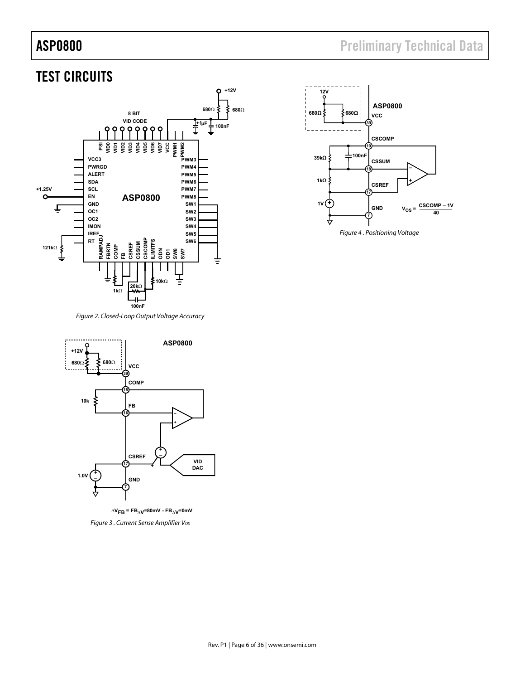# ASP0800 **ASP0800 Preliminary Technical Data**



**ASP0800 12V**



*Figure 2. Closed-Loop Output Voltage Accuracy* 



**Figure 3. Current Sense Amplifier Vos**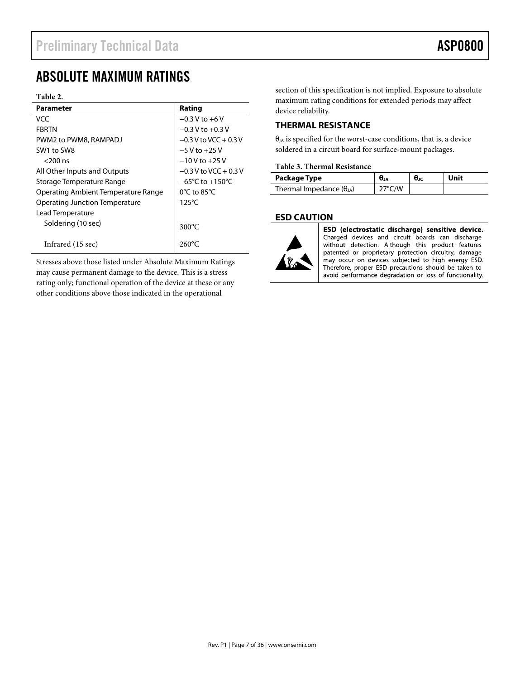# ABSOLUTE MAXIMUM RATINGS

### **Table 2.**

| <b>Parameter</b>                    | Rating                              |
|-------------------------------------|-------------------------------------|
| VCC                                 | $-0.3 V$ to $+6V$                   |
| <b>FRRTN</b>                        | $-0.3$ V to $+0.3$ V                |
| PWM2 to PWM8, RAMPADJ               | $-0.3$ V to VCC + 0.3 V             |
| SW1 to SW8                          | $-5$ V to $+25$ V                   |
| $<$ 200 ns                          | $-10V$ to $+25V$                    |
| All Other Inputs and Outputs        | $-0.3$ V to VCC + 0.3 V             |
| Storage Temperature Range           | $-65^{\circ}$ C to $+150^{\circ}$ C |
| Operating Ambient Temperature Range | $0^{\circ}$ C to 85 $^{\circ}$ C    |
| Operating Junction Temperature      | $125^{\circ}$ C                     |
| Lead Temperature                    |                                     |
| Soldering (10 sec)                  | $300^{\circ}$ C                     |
| Infrared (15 sec)                   | $260^{\circ}$ C                     |

Stresses above those listed under Absolute Maximum Ratings may cause permanent damage to the device. This is a stress rating only; functional operation of the device at these or any other conditions above those indicated in the operational

section of this specification is not implied. Exposure to absolute maximum rating conditions for extended periods may affect device reliability.

# **THERMAL RESISTANCE**

θJA is specified for the worst-case conditions, that is, a device soldered in a circuit board for surface-mount packages.

### **Table 3. Thermal Resistance**

| Package Type                      | UJA              | $\theta$ JC | Unit |
|-----------------------------------|------------------|-------------|------|
| Thermal Impedance $(\theta_{JA})$ | $27^{\circ}$ C/W |             |      |

# **ESD CAUTION**



ESD (electrostatic discharge) sensitive device. Charged devices and circuit boards can discharge without detection. Although this product features patented or proprietary protection circuitry, damage may occur on devices subjected to high energy ESD. Therefore, proper ESD precautions should be taken to avoid performance degradation or loss of functionality.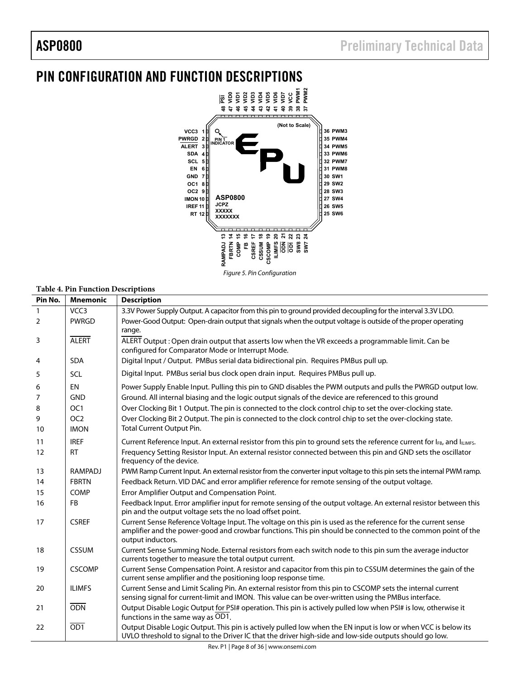# PIN CONFIGURATION AND FUNCTION DESCRIPTIONS



### *Figure 5. Pin Configuration*

# **Table 4. Pin Function Descriptions**

| Pin No. | <b>Mnemonic</b>  | <b>Description</b>                                                                                                                                                                                                                                |
|---------|------------------|---------------------------------------------------------------------------------------------------------------------------------------------------------------------------------------------------------------------------------------------------|
| 1       | VCC <sub>3</sub> | 3.3V Power Supply Output. A capacitor from this pin to ground provided decoupling for the interval 3.3V LDO.                                                                                                                                      |
| 2       | <b>PWRGD</b>     | Power-Good Output: Open-drain output that signals when the output voltage is outside of the proper operating<br>range.                                                                                                                            |
| 3       | <b>ALERT</b>     | ALERT Output: Open drain output that asserts low when the VR exceeds a programmable limit. Can be<br>configured for Comparator Mode or Interrupt Mode.                                                                                            |
| 4       | <b>SDA</b>       | Digital Input / Output. PMBus serial data bidirectional pin. Requires PMBus pull up.                                                                                                                                                              |
| 5       | <b>SCL</b>       | Digital Input. PMBus serial bus clock open drain input. Requires PMBus pull up.                                                                                                                                                                   |
| 6       | <b>EN</b>        | Power Supply Enable Input. Pulling this pin to GND disables the PWM outputs and pulls the PWRGD output low.                                                                                                                                       |
| 7       | <b>GND</b>       | Ground. All internal biasing and the logic output signals of the device are referenced to this ground                                                                                                                                             |
| 8       | OC <sub>1</sub>  | Over Clocking Bit 1 Output. The pin is connected to the clock control chip to set the over-clocking state.                                                                                                                                        |
| 9       | OC <sub>2</sub>  | Over Clocking Bit 2 Output. The pin is connected to the clock control chip to set the over-clocking state.                                                                                                                                        |
| 10      | <b>IMON</b>      | Total Current Output Pin.                                                                                                                                                                                                                         |
| 11      | <b>IREF</b>      | Current Reference Input. An external resistor from this pin to ground sets the reference current for IFB, and ILLIMFS.                                                                                                                            |
| 12      | <b>RT</b>        | Frequency Setting Resistor Input. An external resistor connected between this pin and GND sets the oscillator<br>frequency of the device.                                                                                                         |
| 13      | <b>RAMPADJ</b>   | PWM Ramp Current Input. An external resistor from the converter input voltage to this pin sets the internal PWM ramp.                                                                                                                             |
| 14      | <b>FBRTN</b>     | Feedback Return. VID DAC and error amplifier reference for remote sensing of the output voltage.                                                                                                                                                  |
| 15      | COMP             | Error Amplifier Output and Compensation Point.                                                                                                                                                                                                    |
| 16      | <b>FB</b>        | Feedback Input. Error amplifier input for remote sensing of the output voltage. An external resistor between this<br>pin and the output voltage sets the no load offset point.                                                                    |
| 17      | <b>CSREF</b>     | Current Sense Reference Voltage Input. The voltage on this pin is used as the reference for the current sense<br>amplifier and the power-good and crowbar functions. This pin should be connected to the common point of the<br>output inductors. |
| 18      | <b>CSSUM</b>     | Current Sense Summing Node. External resistors from each switch node to this pin sum the average inductor<br>currents together to measure the total output current.                                                                               |
| 19      | <b>CSCOMP</b>    | Current Sense Compensation Point. A resistor and capacitor from this pin to CSSUM determines the gain of the<br>current sense amplifier and the positioning loop response time.                                                                   |
| 20      | <b>ILIMFS</b>    | Current Sense and Limit Scaling Pin. An external resistor from this pin to CSCOMP sets the internal current<br>sensing signal for current-limit and IMON. This value can be over-written using the PMBus interface.                               |
| 21      | <b>ODN</b>       | Output Disable Logic Output for PSI# operation. This pin is actively pulled low when PSI# is low, otherwise it<br>functions in the same way as OD1.                                                                                               |
| 22      | OD1              | Output Disable Logic Output. This pin is actively pulled low when the EN input is low or when VCC is below its<br>UVLO threshold to signal to the Driver IC that the driver high-side and low-side outputs should go low.                         |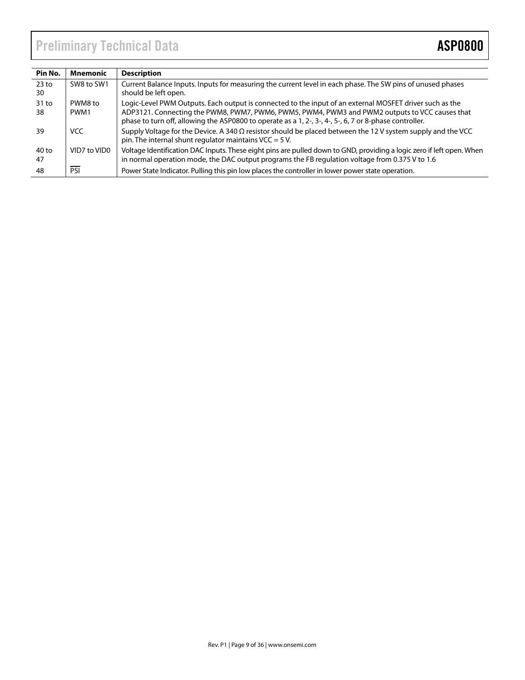# Preliminary Technical Data **ASP0800**

| Pin No.                | Mnemonic        | <b>Description</b>                                                                                                                                                                                                                                                                                                  |
|------------------------|-----------------|---------------------------------------------------------------------------------------------------------------------------------------------------------------------------------------------------------------------------------------------------------------------------------------------------------------------|
| 23 <sub>to</sub><br>30 | SW8 to SW1      | Current Balance Inputs. Inputs for measuring the current level in each phase. The SW pins of unused phases<br>should be left open.                                                                                                                                                                                  |
| $31$ to<br>38          | PWM8 to<br>PWM1 | Logic-Level PWM Outputs. Each output is connected to the input of an external MOSFET driver such as the<br>ADP3121. Connecting the PWM8, PWM7, PWM6, PWM5, PWM4, PWM3 and PWM2 outputs to VCC causes that<br>phase to turn off, allowing the ASP0800 to operate as a 1, 2-, 3-, 4-, 5-, 6, 7 or 8-phase controller. |
| 39                     | <b>VCC</b>      | Supply Voltage for the Device. A 340 $\Omega$ resistor should be placed between the 12 V system supply and the VCC<br>pin. The internal shunt regulator maintains VCC = $5$ V.                                                                                                                                      |
| 40 to<br>47            | VID7 to VID0    | Voltage Identification DAC Inputs. These eight pins are pulled down to GND, providing a logic zero if left open. When<br>in normal operation mode, the DAC output programs the FB regulation voltage from 0.375 V to 1.6                                                                                            |
| 48                     | PSI             | Power State Indicator. Pulling this pin low places the controller in lower power state operation.                                                                                                                                                                                                                   |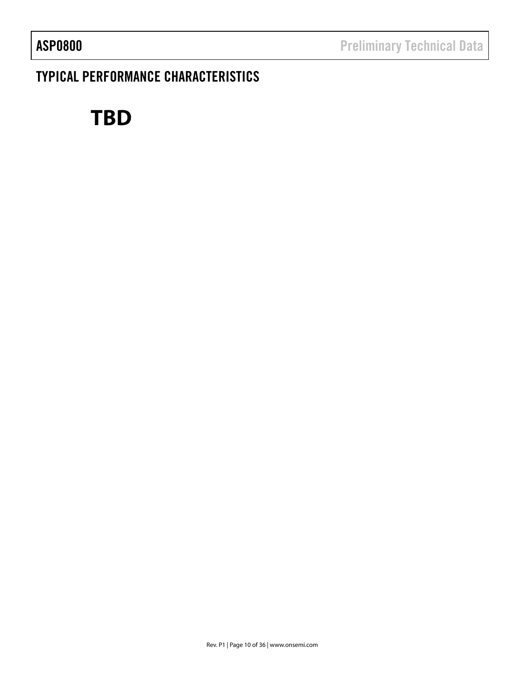# TYPICAL PERFORMANCE CHARACTERISTICS

# **TBD**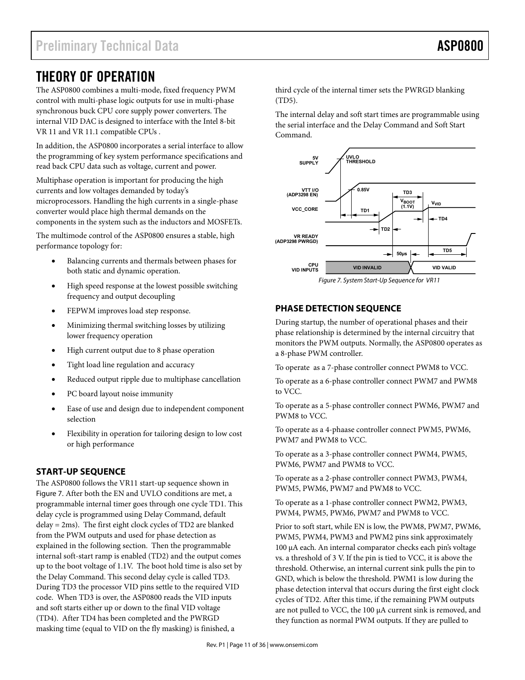# THEORY OF OPERATION

The ASP0800 combines a multi-mode, fixed frequency PWM control with multi-phase logic outputs for use in multi-phase synchronous buck CPU core supply power converters. The internal VID DAC is designed to interface with the Intel 8-bit VR 11 and VR 11.1 compatible CPUs .

In addition, the ASP0800 incorporates a serial interface to allow the programming of key system performance specifications and read back CPU data such as voltage, current and power.

Multiphase operation is important for producing the high currents and low voltages demanded by today's microprocessors. Handling the high currents in a single-phase converter would place high thermal demands on the components in the system such as the inductors and MOSFETs.

The multimode control of the ASP0800 ensures a stable, high performance topology for:

- Balancing currents and thermals between phases for both static and dynamic operation.
- High speed response at the lowest possible switching frequency and output decoupling
- FEPWM improves load step response.
- Minimizing thermal switching losses by utilizing lower frequency operation
- High current output due to 8 phase operation
- Tight load line regulation and accuracy
- Reduced output ripple due to multiphase cancellation
- PC board layout noise immunity
- Ease of use and design due to independent component selection
- Flexibility in operation for tailoring design to low cost or high performance

# **START-UP SEQUENCE**

The ASP0800 follows the VR11 start-up sequence shown in Figure 7. After both the EN and UVLO conditions are met, a programmable internal timer goes through one cycle TD1. This delay cycle is programmed using Delay Command, default delay = 2ms). The first eight clock cycles of TD2 are blanked from the PWM outputs and used for phase detection as explained in the following section. Then the programmable internal soft-start ramp is enabled (TD2) and the output comes up to the boot voltage of 1.1V. The boot hold time is also set by the Delay Command. This second delay cycle is called TD3. During TD3 the processor VID pins settle to the required VID code. When TD3 is over, the ASP0800 reads the VID inputs and soft starts either up or down to the final VID voltage (TD4). After TD4 has been completed and the PWRGD masking time (equal to VID on the fly masking) is finished, a

third cycle of the internal timer sets the PWRGD blanking (TD5).

The internal delay and soft start times are programmable using the serial interface and the Delay Command and Soft Start Command.



# **PHASE DETECTION SEQUENCE**

During startup, the number of operational phases and their phase relationship is determined by the internal circuitry that monitors the PWM outputs. Normally, the ASP0800 operates as a 8-phase PWM controller.

To operate as a 7-phase controller connect PWM8 to VCC.

To operate as a 6-phase controller connect PWM7 and PWM8 to VCC.

To operate as a 5-phase controller connect PWM6, PWM7 and PWM8 to VCC.

To operate as a 4-phaase controller connect PWM5, PWM6, PWM7 and PWM8 to VCC.

To operate as a 3-phase controller connect PWM4, PWM5, PWM6, PWM7 and PWM8 to VCC.

To operate as a 2-phase controller connect PWM3, PWM4, PWM5, PWM6, PWM7 and PWM8 to VCC.

To operate as a 1-phase controller connect PWM2, PWM3, PWM4, PWM5, PWM6, PWM7 and PWM8 to VCC.

Prior to soft start, while EN is low, the PWM8, PWM7, PWM6, PWM5, PWM4, PWM3 and PWM2 pins sink approximately 100 µA each. An internal comparator checks each pin's voltage vs. a threshold of 3 V. If the pin is tied to VCC, it is above the threshold. Otherwise, an internal current sink pulls the pin to GND, which is below the threshold. PWM1 is low during the phase detection interval that occurs during the first eight clock cycles of TD2. After this time, if the remaining PWM outputs are not pulled to VCC, the 100 µA current sink is removed, and they function as normal PWM outputs. If they are pulled to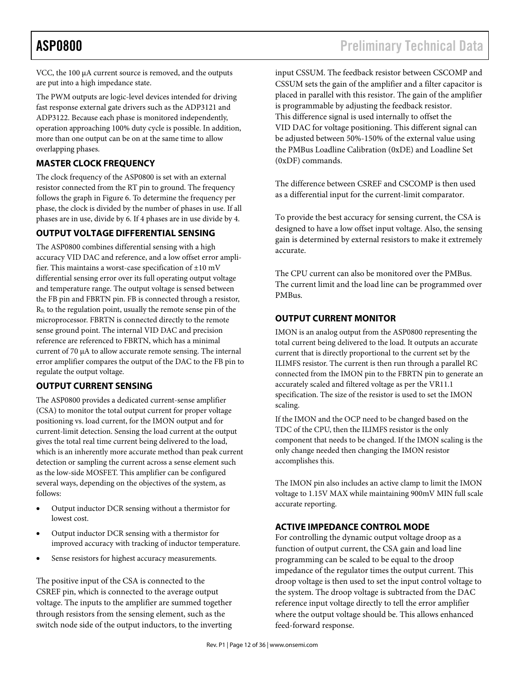VCC, the 100 µA current source is removed, and the outputs are put into a high impedance state.

The PWM outputs are logic-level devices intended for driving fast response external gate drivers such as the ADP3121 and ADP3122. Because each phase is monitored independently, operation approaching 100% duty cycle is possible. In addition, more than one output can be on at the same time to allow overlapping phases.

# **MASTER CLOCK FREQUENCY**

The clock frequency of the ASP0800 is set with an external resistor connected from the RT pin to ground. The frequency follows the graph in Figure 6. To determine the frequency per phase, the clock is divided by the number of phases in use. If all phases are in use, divide by 6. If 4 phases are in use divide by 4.

# **OUTPUT VOLTAGE DIFFERENTIAL SENSING**

The ASP0800 combines differential sensing with a high accuracy VID DAC and reference, and a low offset error amplifier. This maintains a worst-case specification of  $\pm 10$  mV differential sensing error over its full operating output voltage and temperature range. The output voltage is sensed between the FB pin and FBRTN pin. FB is connected through a resistor, R<sub>B</sub>, to the regulation point, usually the remote sense pin of the microprocessor. FBRTN is connected directly to the remote sense ground point. The internal VID DAC and precision reference are referenced to FBRTN, which has a minimal current of 70 µA to allow accurate remote sensing. The internal error amplifier compares the output of the DAC to the FB pin to regulate the output voltage.

# **OUTPUT CURRENT SENSING**

The ASP0800 provides a dedicated current-sense amplifier (CSA) to monitor the total output current for proper voltage positioning vs. load current, for the IMON output and for current-limit detection. Sensing the load current at the output gives the total real time current being delivered to the load, which is an inherently more accurate method than peak current detection or sampling the current across a sense element such as the low-side MOSFET. This amplifier can be configured several ways, depending on the objectives of the system, as follows:

- Output inductor DCR sensing without a thermistor for lowest cost.
- Output inductor DCR sensing with a thermistor for improved accuracy with tracking of inductor temperature.
- Sense resistors for highest accuracy measurements.

The positive input of the CSA is connected to the CSREF pin, which is connected to the average output voltage. The inputs to the amplifier are summed together through resistors from the sensing element, such as the switch node side of the output inductors, to the inverting input CSSUM. The feedback resistor between CSCOMP and CSSUM sets the gain of the amplifier and a filter capacitor is placed in parallel with this resistor. The gain of the amplifier is programmable by adjusting the feedback resistor. This difference signal is used internally to offset the VID DAC for voltage positioning. This different signal can be adjusted between 50%-150% of the external value using the PMBus Loadline Calibration (0xDE) and Loadline Set (0xDF) commands.

The difference between CSREF and CSCOMP is then used as a differential input for the current-limit comparator.

To provide the best accuracy for sensing current, the CSA is designed to have a low offset input voltage. Also, the sensing gain is determined by external resistors to make it extremely accurate.

The CPU current can also be monitored over the PMBus. The current limit and the load line can be programmed over PMBus.

# **OUTPUT CURRENT MONITOR**

IMON is an analog output from the ASP0800 representing the total current being delivered to the load. It outputs an accurate current that is directly proportional to the current set by the ILIMFS resistor. The current is then run through a parallel RC connected from the IMON pin to the FBRTN pin to generate an accurately scaled and filtered voltage as per the VR11.1 specification. The size of the resistor is used to set the IMON scaling.

If the IMON and the OCP need to be changed based on the TDC of the CPU, then the ILIMFS resistor is the only component that needs to be changed. If the IMON scaling is the only change needed then changing the IMON resistor accomplishes this.

The IMON pin also includes an active clamp to limit the IMON voltage to 1.15V MAX while maintaining 900mV MIN full scale accurate reporting.

# **ACTIVE IMPEDANCE CONTROL MODE**

For controlling the dynamic output voltage droop as a function of output current, the CSA gain and load line programming can be scaled to be equal to the droop impedance of the regulator times the output current. This droop voltage is then used to set the input control voltage to the system. The droop voltage is subtracted from the DAC reference input voltage directly to tell the error amplifier where the output voltage should be. This allows enhanced feed-forward response.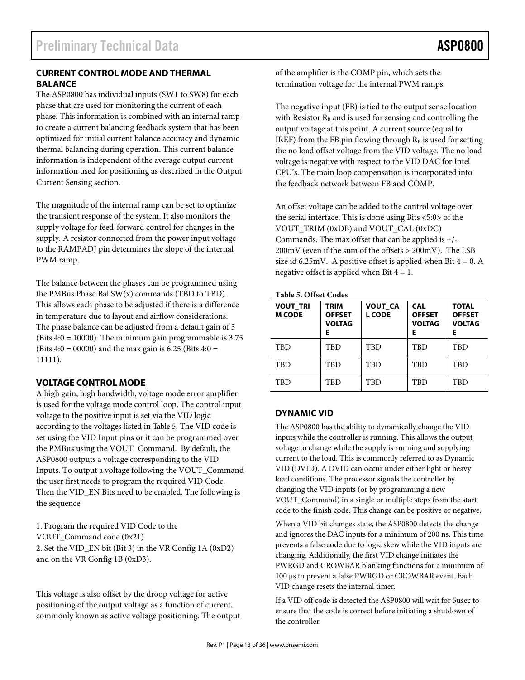# **CURRENT CONTROL MODE AND THERMAL BALANCE**

The ASP0800 has individual inputs (SW1 to SW8) for each phase that are used for monitoring the current of each phase. This information is combined with an internal ramp to create a current balancing feedback system that has been optimized for initial current balance accuracy and dynamic thermal balancing during operation. This current balance information is independent of the average output current information used for positioning as described in the Output Current Sensing section.

The magnitude of the internal ramp can be set to optimize the transient response of the system. It also monitors the supply voltage for feed-forward control for changes in the supply. A resistor connected from the power input voltage to the RAMPADJ pin determines the slope of the internal PWM ramp.

The balance between the phases can be programmed using the PMBus Phase Bal SW(x) commands (TBD to TBD). This allows each phase to be adjusted if there is a difference in temperature due to layout and airflow considerations. The phase balance can be adjusted from a default gain of 5 (Bits  $4:0 = 10000$ ). The minimum gain programmable is 3.75 (Bits  $4:0 = 00000$ ) and the max gain is 6.25 (Bits  $4:0 =$ 11111).

# **VOLTAGE CONTROL MODE**

A high gain, high bandwidth, voltage mode error amplifier is used for the voltage mode control loop. The control input voltage to the positive input is set via the VID logic according to the voltages listed in Table 5. The VID code is set using the VID Input pins or it can be programmed over the PMBus using the VOUT\_Command. By default, the ASP0800 outputs a voltage corresponding to the VID Inputs. To output a voltage following the VOUT\_Command the user first needs to program the required VID Code. Then the VID\_EN Bits need to be enabled. The following is the sequence

1. Program the required VID Code to the VOUT\_Command code (0x21) 2. Set the VID\_EN bit (Bit 3) in the VR Config 1A (0xD2) and on the VR Config 1B (0xD3).

This voltage is also offset by the droop voltage for active positioning of the output voltage as a function of current, commonly known as active voltage positioning. The output of the amplifier is the COMP pin, which sets the termination voltage for the internal PWM ramps.

The negative input (FB) is tied to the output sense location with Resistor  $R_B$  and is used for sensing and controlling the output voltage at this point. A current source (equal to IREF) from the FB pin flowing through  $R_B$  is used for setting the no load offset voltage from the VID voltage. The no load voltage is negative with respect to the VID DAC for Intel CPU's. The main loop compensation is incorporated into the feedback network between FB and COMP.

An offset voltage can be added to the control voltage over the serial interface. This is done using Bits <5:0> of the VOUT\_TRIM (0xDB) and VOUT\_CAL (0xDC) Commands. The max offset that can be applied is +/- 200mV (even if the sum of the offsets > 200mV). The LSB size id 6.25mV. A positive offset is applied when Bit  $4 = 0$ . A negative offset is applied when Bit  $4 = 1$ .

### **Table 5. Offset Codes**

| <b>VOUT TRI</b><br><b>M CODE</b> | TRIM<br><b>OFFSET</b><br><b>VOLTAG</b><br>E. | <b>VOUT CA</b><br><b>L CODE</b> | <b>CAL</b><br><b>OFFSET</b><br><b>VOLTAG</b><br>Е | <b>TOTAL</b><br><b>OFFSET</b><br><b>VOLTAG</b><br>Е |
|----------------------------------|----------------------------------------------|---------------------------------|---------------------------------------------------|-----------------------------------------------------|
| <b>TBD</b>                       | TBD                                          | TBD                             | TBD                                               | <b>TBD</b>                                          |
| TBD                              | TBD                                          | <b>TBD</b>                      | TBD                                               | <b>TBD</b>                                          |
| TBD                              | TBD                                          | TBD                             | TBD                                               | <b>TBD</b>                                          |

# **DYNAMIC VID**

The ASP0800 has the ability to dynamically change the VID inputs while the controller is running. This allows the output voltage to change while the supply is running and supplying current to the load. This is commonly referred to as Dynamic VID (DVID). A DVID can occur under either light or heavy load conditions. The processor signals the controller by changing the VID inputs (or by programming a new VOUT\_Command) in a single or multiple steps from the start code to the finish code. This change can be positive or negative.

When a VID bit changes state, the ASP0800 detects the change and ignores the DAC inputs for a minimum of 200 ns. This time prevents a false code due to logic skew while the VID inputs are changing. Additionally, the first VID change initiates the PWRGD and CROWBAR blanking functions for a minimum of 100 µs to prevent a false PWRGD or CROWBAR event. Each VID change resets the internal timer.

If a VID off code is detected the ASP0800 will wait for 5usec to ensure that the code is correct before initiating a shutdown of the controller.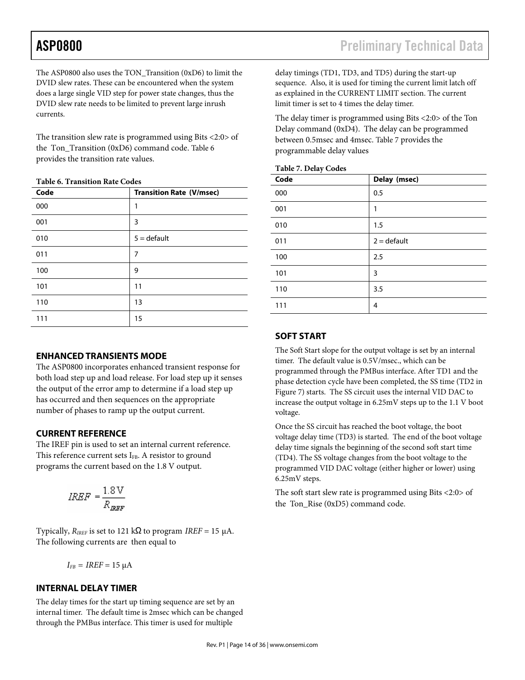The ASP0800 also uses the TON\_Transition (0xD6) to limit the DVID slew rates. These can be encountered when the system does a large single VID step for power state changes, thus the DVID slew rate needs to be limited to prevent large inrush currents.

The transition slew rate is programmed using Bits <2:0> of the Ton Transition (0xD6) command code. Table 6 provides the transition rate values.

|  | <b>Table 6. Transition Rate Codes</b> |  |  |
|--|---------------------------------------|--|--|
|--|---------------------------------------|--|--|

| Code | <b>Transition Rate (V/msec)</b> |
|------|---------------------------------|
| 000  | 1                               |
| 001  | 3                               |
| 010  | $5 =$ default                   |
| 011  | 7                               |
| 100  | 9                               |
| 101  | 11                              |
| 110  | 13                              |
| 111  | 15                              |

## **ENHANCED TRANSIENTS MODE**

The ASP0800 incorporates enhanced transient response for both load step up and load release. For load step up it senses the output of the error amp to determine if a load step up has occurred and then sequences on the appropriate number of phases to ramp up the output current.

# **CURRENT REFERENCE**

The IREF pin is used to set an internal current reference. This reference current sets  $I_{FB}$ . A resistor to ground programs the current based on the 1.8 V output.

$$
IREF=\frac{1.8\,\mathrm{V}}{R_{BBF}}
$$

Typically,  $R_{IREF}$  is set to 121 k $\Omega$  to program *IREF* = 15 µA. The following currents are then equal to

$$
I_{FB} = IREF = 15 \ \mu A
$$

# **INTERNAL DELAY TIMER**

The delay times for the start up timing sequence are set by an internal timer. The default time is 2msec which can be changed through the PMBus interface. This timer is used for multiple

delay timings (TD1, TD3, and TD5) during the start-up sequence. Also, it is used for timing the current limit latch off as explained in the CURRENT LIMIT section. The current limit timer is set to 4 times the delay timer.

The delay timer is programmed using Bits <2:0> of the Ton Delay command (0xD4). The delay can be programmed between 0.5msec and 4msec. Table 7 provides the programmable delay values

| <b>Table 7. Delay Codes</b> |  |
|-----------------------------|--|
|                             |  |

| Code | Delay (msec)  |
|------|---------------|
| 000  | 0.5           |
| 001  | 1             |
| 010  | 1.5           |
| 011  | $2 =$ default |
| 100  | 2.5           |
| 101  | 3             |
| 110  | 3.5           |
| 111  | 4             |

## **SOFT START**

The Soft Start slope for the output voltage is set by an internal timer. The default value is 0.5V/msec., which can be programmed through the PMBus interface. After TD1 and the phase detection cycle have been completed, the SS time (TD2 in Figure 7) starts. The SS circuit uses the internal VID DAC to increase the output voltage in 6.25mV steps up to the 1.1 V boot voltage.

Once the SS circuit has reached the boot voltage, the boot voltage delay time (TD3) is started. The end of the boot voltage delay time signals the beginning of the second soft start time (TD4). The SS voltage changes from the boot voltage to the programmed VID DAC voltage (either higher or lower) using 6.25mV steps.

The soft start slew rate is programmed using Bits <2:0> of the Ton Rise (0xD5) command code.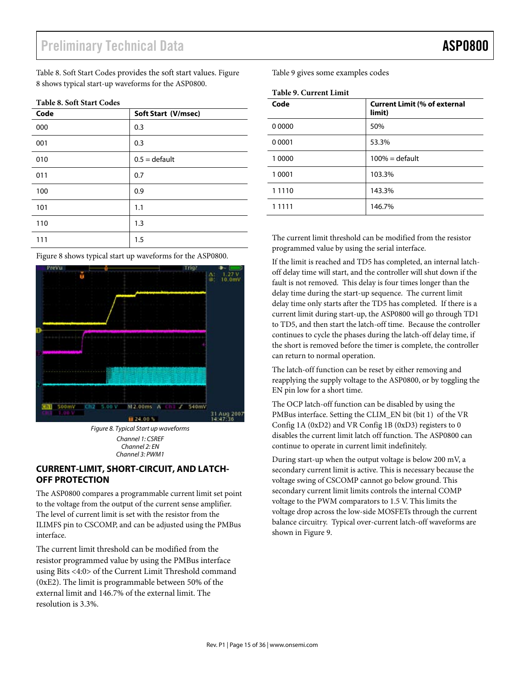Table 8. Soft Start Codes provides the soft start values. Figure Table 9 gives some examples codes 8 shows typical start-up waveforms for the ASP0800. 8 shows typical start-up waveforms for the ASP0800. **Code Soft Start (V/msec)** 

# **Table 8. Soft Start Codes**

| Code | Soft Start (V/msec) |
|------|---------------------|
| 000  | 0.3                 |
| 001  | 0.3                 |
| 010  | $0.5 =$ default     |
| 011  | 0.7                 |
| 100  | 0.9                 |
| 101  | 1.1                 |
| 110  | 1.3                 |
| 111  | 1.5                 |

Figure 8 shows typical start up waveforms for the ASP0800.



*Figure 8. Typical Start up waveforms Channel 3: PWM1 Channel 1: CSREF*  **Channel 1: CSREF**<br>Channel 2: EN *Channel 3: PWM1* 

# **CURRENT-LIMIT, SHORT-CIRCUIT, AND LATCH-OFF PROTECTION**

The ASP0800 compares a programmable current limit set point ILE TIST 0000 Compares a programmatic current mini set point to the voltage from the output of the current sense amplifier. The level of current limit is set with the resistor from the ILIMFS pin to CSCOMP, and can be adjusted using the PMBus interface. The PMBus interface by using the PMBus interface by using the PMBus interface by using the PMBus interface  $\alpha$ 

The current limit threshold can be modified from the resistor programmed value by using the PMBus interface using Bits  $\langle 4:0 \rangle$  of the Current Limit Threshold command  $\int$  (0xE2). The limit is programmable between 50% of the external limit and 146.7% of the external limit. The resolution is 3.3%.

Table 9 gives some examples codes Preliminary Technical Data Asponsor Technical Data Asponsor Technical Data A

|  | <b>Table 9. Current Limit</b> |  |
|--|-------------------------------|--|
|--|-------------------------------|--|

| Code      | <b>Current Limit (% of external</b><br>limit) |
|-----------|-----------------------------------------------|
| 0 0 0 0 0 | 50%                                           |
| 0 0 0 0 1 | 53.3%                                         |
| 1 0000    | $100% =$ default                              |
| 1 0001    | 103.3%                                        |
| 1 1 1 1 0 | 143.3%                                        |
| 1 1 1 1 1 | 146.7%                                        |

The current limit threshold can be modified from the resistor programmed value by using the serial interface.

If the limit is reached and TD5 has completed, an internal latchoff delay time will start, and the controller will shut down if the fault is not removed. This delay is four times longer than the delay time during the start-up sequence. The current limit delay time only starts after the TD5 has completed. If there is a current limit during start-up, the ASP0800 will go through TD1 to TD5, and then start the latch-off time. Because the controller continues to cycle the phases during the latch-off delay time, if the short is removed before the timer is complete, the controller can return to normal operation.

The latch-off function can be reset by either removing and reapplying the supply voltage to the ASP0800, or by toggling the EN pin low for a short time.

The OCP latch-off function can be disabled by using the PMBus interface. Setting the CLIM\_EN bit (bit 1) of the VR Config 1A (0xD2) and VR Config 1B (0xD3) registers to 0 disables the current limit latch off function. The ASP0800 can continue to operate in current limit indefinitely.

During start-up when the output voltage is below 200 mV, a secondary current limit is active. This is necessary because the voltage swing of CSCOMP cannot go below ground. This secondary current limit limits controls the internal COMP voltage to the PWM comparators to 1.5 V. This limits the voltage drop across the low-side MOSFETs through the current balance circuitry. Typical over-current latch-off waveforms are shown in Figure 9.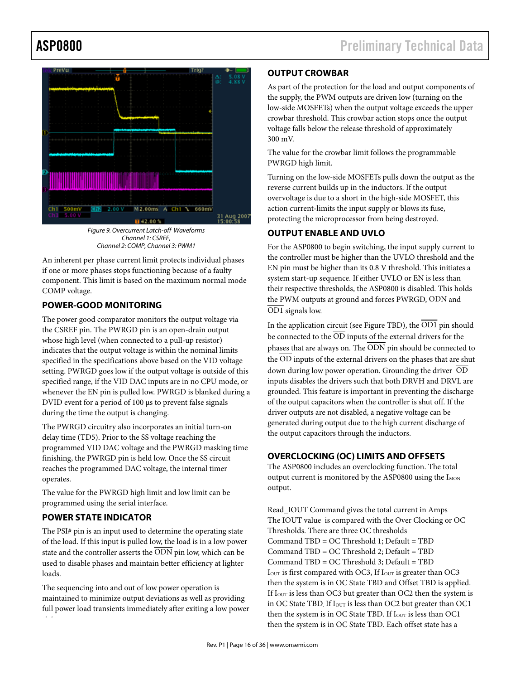# Pressure Technical Data Assembly Technical Data Assembly Technical Data Assembly Technical Data Assembly Technical Data Assembly Technical Data Assembly Technical Data Assembly Technical Data Assembly Technical Data Assemb



*Figure 9. Overcurrent Latch-off Waveforms*<br>Channel 1. CSPEE *Channel 1: CSREF,*  Channel 2: COMP, Channel 3: PWM1

An inherent per phase current limit protects individual phases if one or more phases stops functioning because of a faulty component. This limit is based on the maximum normal mode COMP voltage.

## **POWER-GOOD MONITORING** OD1 signals low.

The power good comparator monitors the output voltage via the CSREF pin. The PWRGD pin is an open-drain output whose high level (when connected to a pull-up resistor) indicates that the output voltage is within the nominal limits specified in the specifications above based on the VID voltage setting. PWRGD goes low if the output voltage is outside of this specified range, if the VID DAC inputs are in no CPU mode, or whenever the EN pin is pulled low. PWRGD is blanked during a DVID event for a period of 100  $\mu$ s to prevent false signals during the time the output is changing.

The PWRGD circuitry also incorporates an initial turn-on delay time (TD5). Prior to the SS voltage reaching the programmed VID DAC voltage and the PWRGD masking time finishing, the PWRGD pin is held low. Once the SS circuit reaches the programmed DAC voltage, the internal timer operates.

The value for the PWRGD high limit and low limit can be programmed using the serial interface.

### **POWER STATE INDICATOR** PUWER STATE INDICATURE

The PSI# pin is an input used to determine the operating state of the load. If this input is pulled low, the load is in a low power state and the controller asserts the ODN pin low, which can be used to disable phases and maintain better efficiency at lighter loads. loads.

The sequencing into and out of low power operation is maintained to minimize output deviations as well as providing full power load transients immediately after exiting a low power state.  $t_{\text{max}}$  then then the system is in OC1  $t_{\text{max}}$  and  $t_{\text{max}}$ 

# **OUTPUT CROWBAR**  The offset voltage for each state is each state is each state is each state is each state in

As part of the protection for the load and output components of the supply, the PWM outputs are driven low (turning on the crowbar threshold. This crowbar action stops once the output voltage falls below the release threshold of approximately  $0 \text{ mV}$ low-side MOSFETs) when the output voltage exceeds the upper 300 mV.

 $\sim 1$  and  $\sim 0.000$ The value for the crowbar limit follows the programmable<br>PMBCD high limit PWRGD high limit.

Turning on the low-side MOSFETs pulls down the output as the reverse current builds up in the inductors. If the output action current-limits the input supply or blows its fuse, control of the ASP0800 is carried out using the PMBus of the PMBus of the PMBus of the PMBus of the PMBus of the PMBus of the PMBus of the PMBus of the PMBus of the PMBus of the PMBus of the PMBus of the PMBus of the PMBus overvoltage is due to a short in the high-side MOSFET, this protecting the microprocessor from being destroyed.

# **OUTPUT ENABLE AND UVLO**

For the ASP0800 to begin switching, the input supply current to the controller must be higher than the UVLO threshold and the EN pin must be higher than its  $0.8$  V threshold. This initiates a their respective thresholds, the ASP0800 is disabled. This holds the PWM outputs at ground and forces PWRGD,  $\overline{\mathrm{ODN}}$  and  $\overline{OD1}$  signals low.  $\frac{1}{\sqrt{1-\frac{1}{\sqrt{1-\frac{1}{\sqrt{1-\frac{1}{\sqrt{1-\frac{1}{\sqrt{1-\frac{1}{\sqrt{1-\frac{1}{\sqrt{1-\frac{1}{\sqrt{1-\frac{1}{\sqrt{1-\frac{1}{\sqrt{1-\frac{1}{\sqrt{1-\frac{1}{\sqrt{1-\frac{1}{\sqrt{1-\frac{1}{\sqrt{1-\frac{1}{\sqrt{1-\frac{1}{\sqrt{1-\frac{1}{\sqrt{1-\frac{1}{\sqrt{1-\frac{1}{\sqrt{1-\frac{1}{\sqrt{1-\frac{1}{\sqrt{1-\frac{1}{\sqrt{1-\frac{1}{\sqrt{1-\frac{1}{\sqrt{1-\frac{1$ system start-up sequence. If either UVLO or EN is less than

In the application circuit (see Figure TBD), the OD1 pin should phases that are always on. The  $\overline{\rm ODN}$  pin should be connected to the OD inputs of the external drivers on the phases that are shut down during low power operation. Grounding the driver  $\overline{\mathrm{OD}}$ mputs disables the dirvers such that both DNV11 and DNV12 are<br>grounded. This feature is important in preventing the discharge of the output capacitors when the controller is shut off. If the discussed capacitors when the discrete seconds  $\epsilon$ generated during output due to the high current discharge of the output capacitors through the inductors.<br> be connected to the  $\overline{OD}$  inputs of the external drivers for the inputs disables the drivers such that both DRVH and DRVL are driver outputs are not disabled, a negative voltage can be

# **OVERCLOCKING (OC) LIMITS AND OFFSETS**

output current is monitored by the ASP0800 using the  $\rm I_{MON}$  $\alpha$ The ASP0800 includes an overclocking function. The total output.

Read\_IOUT Command gives the total current in Amps Command TBD = OC Threshold 1, Default = TBD<br>Command TBD = OC Threshold 2; Default = TBD Command TBD = OC Threshold 2, Default = TBD<br>Command TBD = OC Threshold 3; Default = TBD  $\frac{d}{dt}$  and  $\frac{d}{dt}$  are deviced must occur during the data line must occur during the lower during the lower during the lower during the lower during the lower during the lower during the lower during the lower during  $I_{\text{OUT}}$  is first compared with OC3, If  $I_{\text{OUT}}$  is greater than OC3  $\epsilon$  is the contracted of the clock is the clock is the clock is the clock is higher than the clock is higher than the clock is higher than the clock is higher than the clock is higher than the clock is higher than the cl If  $I_{\text{OUT}}$  is less than OC3 but greater than OC2 then the system is  $\frac{1}{2}$ in OC State TBD. If  $I_{\text{OUT}}$  is less than OC2 but greater than OC1 The IOUT value is compared with the Over Clocking or OC Thresholds. There are three OC thresholds  $Command TBD = OC Threshold 1: Default = TBD$ then the system is in OC State TBD and Offset TBD is applied. then the system is in OC State TBD. If  $I_{\text{OUT}}$  is less than OC1 then the system is in OC State TBD. Each offset state has a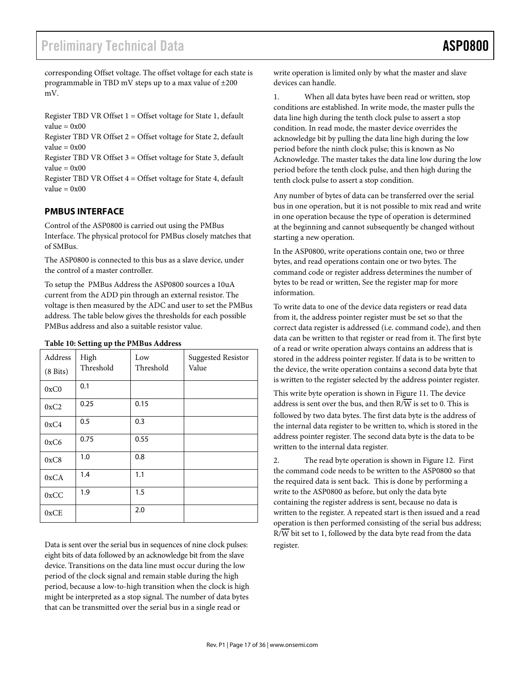corresponding Offset voltage. The offset voltage for each state is programmable in TBD mV steps up to a max value of  $\pm 200$ mV.  $\ln v$ .

Register TBD VR Offset  $1 =$  Offset voltage for State 1, default  $value = 0x00$  $value = 0x00$ 

Register TBD VR Offset 2 = Offset voltage for State 2, default  $value = 0x00$ Register TBD VR Offset  $2 =$  Offset voltage for State 2, defau

Register TBD VR Offset  $3 =$  Offset voltage for State 3, default  $value = 0x00$ 

Register TBD VR Offset  $4 =$  Offset voltage for State 4, default  $value = 0x00$ 

### **PMBUS INTERFACE** in one operation because the type of operation is determined

Control of the ASP0800 is carried out using the PMBus Interface. The physical protocol for PMBus closely matches that of SMBus.  $\overline{\phantom{a}}$  or the ASP0800, write operations contained one, two or three or three or three or three or three or three or three or three or three or three or three or three or three or three or three or three or three or t

The ASP0800 is connected to this bus as a slave device, under the control of a master controller.

To setup the PMBus Address the ASP0800 sources a 10uA current from the ADD pin through an external resistor. The voltage is then measured by the  $ADC$  and user to set the  $PMBus$ address. The table below gives the thresholds for each possible PMBus address and also a suitable resistor value.

| Address<br>$(8 \text{ bits})$ | ruole roi oetting up the randuo riutress<br>High<br>Threshold | Low<br>Threshold | <b>Suggested Resistor</b><br>Value |
|-------------------------------|---------------------------------------------------------------|------------------|------------------------------------|
| 0xC0                          | 0.1                                                           |                  |                                    |
| 0xC2                          | 0.25                                                          | 0.15             |                                    |
| 0xC4                          | 0.5                                                           | 0.3              |                                    |
| 0xC6                          | 0.75                                                          | 0.55             |                                    |
| 0xC8                          | 1.0                                                           | 0.8              |                                    |
| 0xCA                          | 1.4                                                           | 1.1              |                                    |
| 0xCC                          | 1.9                                                           | 1.5              |                                    |
| 0xCE                          |                                                               | 2.0              |                                    |

# Table 10: Setting up the PMBus Address

Data is sent over the serial bus in sequences of nine clock pulses: eight bits of data followed by an acknowledge bit from the slave device. Transitions on the data line must occur during the low period of the clock signal and remain stable during the high period, because a low-to-high transition when the clock is high might be interpreted as a stop signal. The number of data bytes that can be transmitted over the serial bus in a single read or

write operation is limited only by what the master and slave devices can handle.

1. When all data bytes have been read or written, stop conditions are established. In write mode, the master pulls the data line high during the tenth clock pulse to assert a stop condition. In read mode, the master device overrides the acknowledge bit by pulling the data line high during the low period before the ninth clock pulse; this is known as No Acknowledge. The master takes the data line low during the low period before the tenth clock pulse, and then high during the tenth clock pulse to assert a stop condition.

Any number of bytes of data can be transferred over the serial bus in one operation, but it is not possible to mix read and write in one operation because the type of operation is determined at the beginning and cannot subsequently be changed without starting a new operation.

In the ASP0800, write operations contain one, two or three bytes, and read operations contain one or two bytes. The command code or register address determines the number of bytes to be read or written, See the register map for more information.

To write data to one of the device data registers or read data from it, the address pointer register must be set so that the correct data register is addressed (i.e. command code), and then data can be written to that register or read from it. The first byte of a read or write operation always contains an address that is stored in the address pointer register. If data is to be written to the device, the write operation contains a second data byte that is written to the register selected by the address pointer register.

This write byte operation is shown in Figure 11. The device address is sent over the bus, and then  $R/\overline{W}$  is set to 0. This is followed by two data bytes. The first data byte is the address of the internal data register to be written to, which is stored in the address pointer register. The second data byte is the data to be written to the internal data register.

2. The read byte operation is shown in Figure 12. First the command code needs to be written to the ASP0800 so that the required data is sent back. This is done by performing a write to the ASP0800 as before, but only the data byte containing the register address is sent, because no data is written to the register. A repeated start is then issued and a read operation is then performed consisting of the serial bus address;  $R/\overline{W}$  bit set to 1, followed by the data byte read from the data register.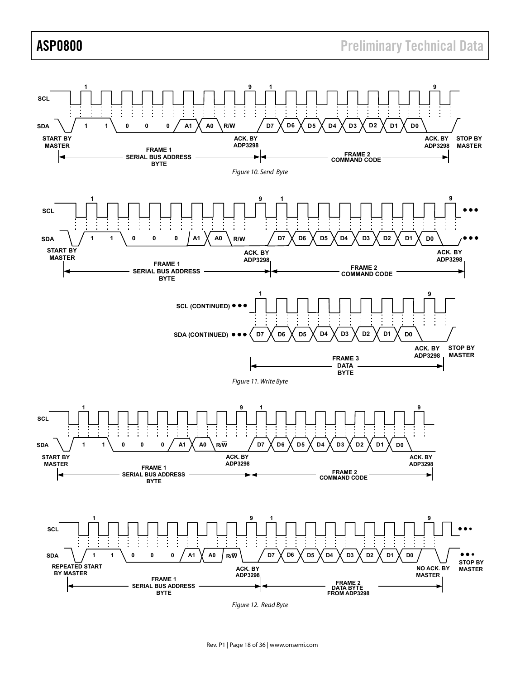# ASP0800 **ASP0800 Preliminary Technical Data**



Rev. P1 | Page 18 of 36 | www.onsemi.com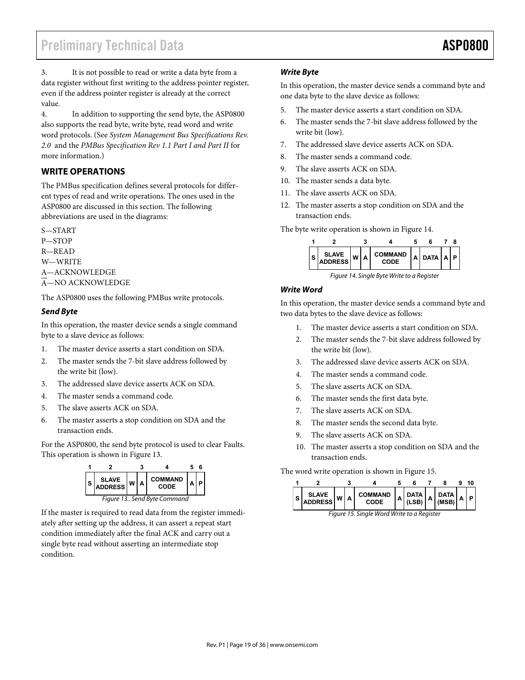3. It is not possible to read or write a data byte from a data register without first writing to the address pointer register, even if the address pointer register is already at the correct value.

4. In addition to supporting the send byte, the ASP0800 also supports the read byte, write byte, read word and write word protocols. (See *System Management Bus Specifications Rev. 2.0* and the *PMBus Specification Rev 1.1 Part I and Part II* for more information.)

# **WRITE OPERATIONS**

The PMBus specification defines several protocols for different types of read and write operations. The ones used in the ASP0800 are discussed in this section. The following abbreviations are used in the diagrams:

S—START P—STOP R—READ W—WRITE A—ACKNOWLEDGE A—NO ACKNOWLEDGE

The ASP0800 uses the following PMBus write protocols.

## *Send Byte*

In this operation, the master device sends a single command byte to a slave device as follows:

- 1. The master device asserts a start condition on SDA.
- 2. The master sends the 7-bit slave address followed by the write bit (low).
- 3. The addressed slave device asserts ACK on SDA.
- 4. The master sends a command code.
- 5. The slave asserts ACK on SDA.
- 6. The master asserts a stop condition on SDA and the transaction ends.

For the ASP0800, the send byte protocol is used to clear Faults. This operation is shown in Figure 13.



If the master is required to read data from the register immediately after setting up the address, it can assert a repeat start condition immediately after the final ACK and carry out a single byte read without asserting an intermediate stop condition.

## *Write Byte*

In this operation, the master device sends a command byte and one data byte to the slave device as follows:

- 5. The master device asserts a start condition on SDA.
- 6. The master sends the 7-bit slave address followed by the write bit (low).
- 7. The addressed slave device asserts ACK on SDA.
- 8. The master sends a command code.
- 9. The slave asserts ACK on SDA.
- 10. The master sends a data byte.
- 11. The slave asserts ACK on SDA.
- 12. The master asserts a stop condition on SDA and the transaction ends.

The byte write operation is shown in Figure 14.



*Figure 14. Single Byte Write to a Register* 

## *Write Word*

In this operation, the master device sends a command byte and two data bytes to the slave device as follows:

- 1. The master device asserts a start condition on SDA.
- 2. The master sends the 7-bit slave address followed by the write bit (low).
- 3. The addressed slave device asserts ACK on SDA.
- 4. The master sends a command code.
- 5. The slave asserts ACK on SDA.
- 6. The master sends the first data byte.
- 7. The slave asserts ACK on SDA.
- 8. The master sends the second data byte.
- 9. The slave asserts ACK on SDA.
- 10. The master asserts a stop condition on SDA and the transaction ends.

The word write operation is shown in Figure 15.

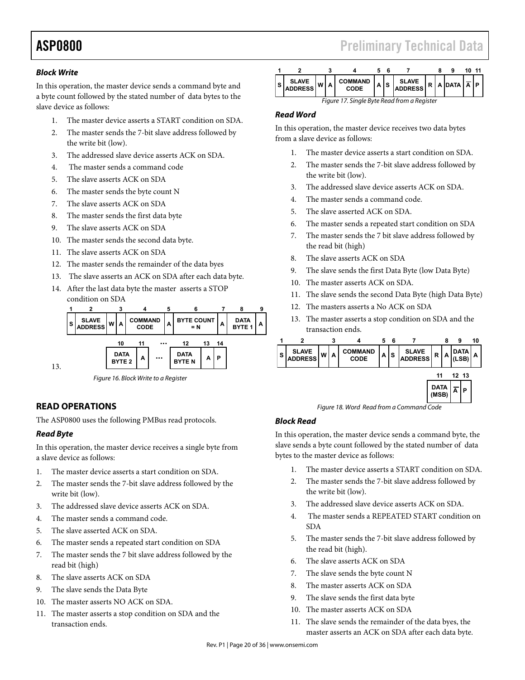# *Block Write*

In this operation, the master device sends a command byte and a byte count followed by the stated number of data bytes to the slave device as follows:

- 1. The master device asserts a START condition on SDA.
- 2. The master sends the 7-bit slave address followed by the write bit (low).
- 3. The addressed slave device asserts ACK on SDA.
- 4. The master sends a command code
- 5. The slave asserts ACK on SDA
- 6. The master sends the byte count N
- 7. The slave asserts ACK on SDA
- 8. The master sends the first data byte
- 9. The slave asserts ACK on SDA
- 10. The master sends the second data byte.
- 11. The slave asserts ACK on SDA
- 12. The master sends the remainder of the data byes
- 13. The slave asserts an ACK on SDA after each data byte.
- 14. After the last data byte the master asserts a STOP condition on SDA



# **READ OPERATIONS**

The ASP0800 uses the following PMBus read protocols.

## *Read Byte*

13.

In this operation, the master device receives a single byte from a slave device as follows:

- 1. The master device asserts a start condition on SDA.
- 2. The master sends the 7-bit slave address followed by the write bit (low).
- 3. The addressed slave device asserts ACK on SDA.
- 4. The master sends a command code.
- 5. The slave asserted ACK on SDA.
- 6. The master sends a repeated start condition on SDA
- 7. The master sends the 7 bit slave address followed by the read bit (high)
- 8. The slave asserts ACK on SDA
- 9. The slave sends the Data Byte
- 10. The master asserts NO ACK on SDA.
- 11. The master asserts a stop condition on SDA and the transaction ends.

|                                             |  |  |                        |   |     |                  |  |  |                                   |  | - 11 |
|---------------------------------------------|--|--|------------------------|---|-----|------------------|--|--|-----------------------------------|--|------|
| <b>SLAVE</b><br>$-$ IADDRESS $ W $ A I      |  |  | <b>COMMAND</b><br>CODE | А | IS. | SLAVE<br>ADDRESS |  |  | $R   A   DATA   \overline{A}   P$ |  |      |
| Figure 17. Single Byte Read from a Register |  |  |                        |   |     |                  |  |  |                                   |  |      |

### *Read Word*

In this operation, the master device receives two data bytes from a slave device as follows:

- The master device asserts a start condition on SDA.
- 2. The master sends the 7-bit slave address followed by the write bit (low).
- 3. The addressed slave device asserts ACK on SDA.
- 4. The master sends a command code.
- 5. The slave asserted ACK on SDA.
- 6. The master sends a repeated start condition on SDA
- 7. The master sends the 7 bit slave address followed by the read bit (high)
- 8. The slave asserts ACK on SDA
- 9. The slave sends the first Data Byte (low Data Byte)
- 10. The master asserts ACK on SDA.
- 11. The slave sends the second Data Byte (high Data Byte)
- 12. The masters asserts a No ACK on SDA
- 13. The master asserts a stop condition on SDA and the transaction ends.



## *Block Read*

In this operation, the master device sends a command byte, the slave sends a byte count followed by the stated number of data bytes to the master device as follows:

- 1. The master device asserts a START condition on SDA.
- 2. The master sends the 7-bit slave address followed by the write bit (low).
- 3. The addressed slave device asserts ACK on SDA.
- 4. The master sends a REPEATED START condition on SDA
- 5. The master sends the 7-bit slave address followed by the read bit (high).
- 6. The slave asserts ACK on SDA
- 7. The slave sends the byte count N
- 8. The master asserts ACK on SDA
- 9. The slave sends the first data byte
- 10. The master asserts ACK on SDA
- 11. The slave sends the remainder of the data byes, the master asserts an ACK on SDA after each data byte.

# ASP0800 **ASP0800 Preliminary Technical Data**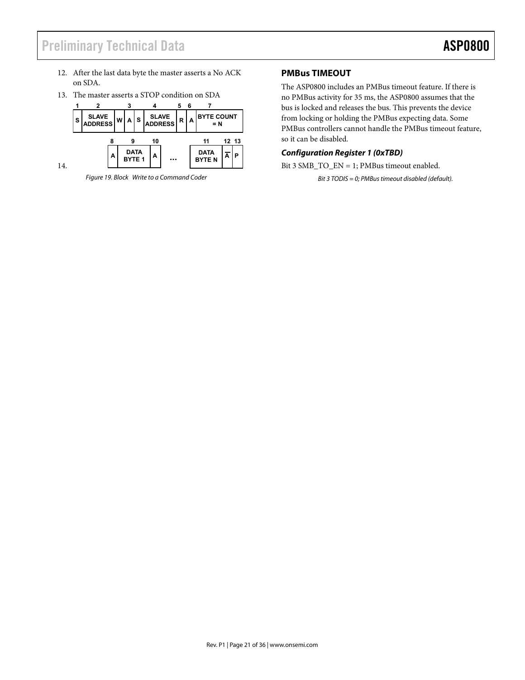- 12. After the last data byte the master asserts a No ACK on SDA.
- 13. The master asserts a STOP condition on SDA



14.

*Figure 19. Block Write to a Command Coder* 

# **PMBus TIMEOUT**

The ASP0800 includes an PMBus timeout feature. If there is no PMBus activity for 35 ms, the ASP0800 assumes that the bus is locked and releases the bus. This prevents the device from locking or holding the PMBus expecting data. Some PMBus controllers cannot handle the PMBus timeout feature, so it can be disabled.

# *Configuration Register 1 (0xTBD)*

Bit 3 SMB\_TO\_EN = 1; PMBus timeout enabled.

*Bit 3 TODIS = 0; PMBus timeout disabled (default).*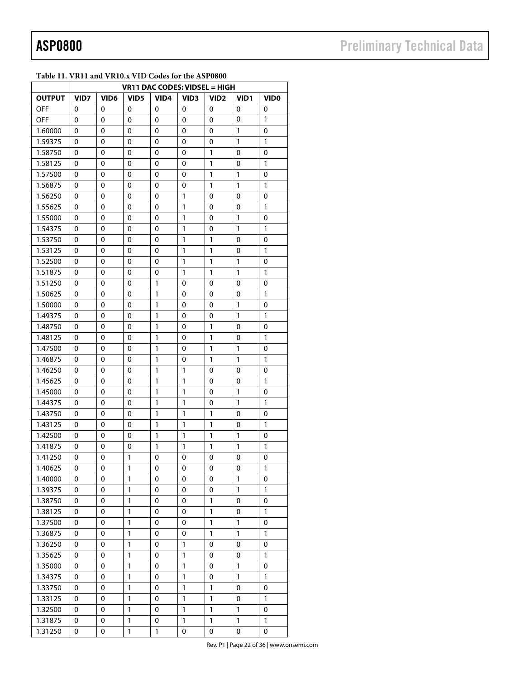|               | $\frac{1}{2}$ and $\frac{1}{2}$ and $\frac{1}{2}$ and $\frac{1}{2}$ and $\frac{1}{2}$ and $\frac{1}{2}$<br>VR11 DAC CODES: VIDSEL = HIGH |                  |                  |              |                  |                   |                   |              |  |
|---------------|------------------------------------------------------------------------------------------------------------------------------------------|------------------|------------------|--------------|------------------|-------------------|-------------------|--------------|--|
| <b>OUTPUT</b> | VID7                                                                                                                                     | VID <sub>6</sub> | VID <sub>5</sub> | VID4         | VID <sub>3</sub> | VID <sub>2</sub>  | VID <sub>1</sub>  | <b>VIDO</b>  |  |
| OFF           | 0                                                                                                                                        | 0                | 0                | 0            | 0                | 0                 | 0                 | 0            |  |
| OFF           | 0                                                                                                                                        | 0                | 0                | 0            | 0                | 0                 | 0                 | 1            |  |
| 1.60000       | 0                                                                                                                                        | 0                | 0                | 0            | 0                | 0                 | 1                 | 0            |  |
|               |                                                                                                                                          |                  |                  |              |                  |                   | 1                 | 1            |  |
| 1.59375       | 0                                                                                                                                        | 0                | 0                | 0            | 0                | 0<br>1            |                   |              |  |
| 1.58750       | 0                                                                                                                                        | 0                | 0                | 0            | 0                |                   | 0                 | 0            |  |
| 1.58125       | 0                                                                                                                                        | 0                | 0                | 0            | 0                | 1                 | 0                 | $\mathbf{1}$ |  |
| 1.57500       | 0                                                                                                                                        | 0                | $\mathbf 0$      | 0            | 0                | 1<br>$\mathbf{1}$ | 1<br>$\mathbf{1}$ | 0            |  |
| 1.56875       | 0                                                                                                                                        | 0                | 0                | 0            | 0                |                   |                   | 1            |  |
| 1.56250       | 0                                                                                                                                        | 0                | 0                | 0            | 1                | 0                 | 0                 | 0            |  |
| 1.55625       | 0                                                                                                                                        | 0                | 0                | 0            | $\mathbf{1}$     | 0                 | 0                 | 1            |  |
| 1.55000       | 0                                                                                                                                        | 0                | 0                | 0            | $\mathbf{1}$     | 0                 | 1                 | 0            |  |
| 1.54375       | 0                                                                                                                                        | 0                | 0                | 0            | $\mathbf{1}$     | 0                 | 1                 | 1            |  |
| 1.53750       | 0                                                                                                                                        | 0                | 0                | 0            | $\mathbf{1}$     | 1                 | 0                 | 0            |  |
| 1.53125       | 0                                                                                                                                        | 0                | 0                | 0            | $\mathbf{1}$     | 1                 | 0                 | 1            |  |
| 1.52500       | 0                                                                                                                                        | 0                | 0                | 0            | 1                | 1                 | 1                 | 0            |  |
| 1.51875       | 0                                                                                                                                        | 0                | 0                | 0            | $\mathbf{1}$     | 1                 | 1                 | 1            |  |
| 1.51250       | 0                                                                                                                                        | 0                | 0                | 1            | 0                | 0                 | 0                 | 0            |  |
| 1.50625       | 0                                                                                                                                        | 0                | 0                | 1            | 0                | 0                 | 0                 | 1            |  |
| 1.50000       | 0                                                                                                                                        | 0                | 0                | $\mathbf{1}$ | 0                | 0                 | 1                 | 0            |  |
| 1.49375       | 0                                                                                                                                        | 0                | 0                | 1            | 0                | 0                 | 1                 | 1            |  |
| 1.48750       | 0                                                                                                                                        | 0                | 0                | 1            | 0                | 1                 | 0                 | 0            |  |
| 1.48125       | 0                                                                                                                                        | 0                | 0                | $\mathbf{1}$ | 0                | $\mathbf{1}$      | 0                 | 1            |  |
| 1.47500       | 0                                                                                                                                        | 0                | $\mathbf 0$      | $\mathbf{1}$ | 0                | 1                 | $\mathbf{1}$      | 0            |  |
| 1.46875       | 0                                                                                                                                        | 0                | 0                | 1            | 0                | 1                 | 1                 | 1            |  |
| 1.46250       | 0                                                                                                                                        | 0                | 0                | 1            | 1                | 0                 | 0                 | 0            |  |
| 1.45625       | 0                                                                                                                                        | 0                | 0                | $\mathbf{1}$ | $\mathbf{1}$     | 0                 | 0                 | 1            |  |
| 1.45000       | 0                                                                                                                                        | 0                | 0                | 1            | 1                | 0                 | 1                 | 0            |  |
| 1.44375       | 0                                                                                                                                        | 0                | 0                | 1            | 1                | 0                 | 1                 | 1            |  |
| 1.43750       | 0                                                                                                                                        | 0                | 0                | 1            | $\mathbf{1}$     | 1                 | 0                 | 0            |  |
| 1.43125       | 0                                                                                                                                        | 0                | 0                | $\mathbf{1}$ | $\mathbf{1}$     | 1                 | 0                 | 1            |  |
| 1.42500       | 0                                                                                                                                        | 0                | 0                | $\mathbf{1}$ | $\mathbf{1}$     | 1                 | 1                 | 0            |  |
| 1.41875       | 0                                                                                                                                        | 0                | 0                | $\mathbf{1}$ | 1                | 1                 | 1                 | 1            |  |
| 1.41250       | 0                                                                                                                                        | 0                | $\mathbf 1$      | 0            | 0                | 0                 | 0                 | 0            |  |
| 1.40625       | 0                                                                                                                                        | 0                | 1                | 0            | 0                | 0                 | 0                 | 1            |  |
| 1.40000       | 0                                                                                                                                        | 0                | 1                | 0            | 0                | 0                 | 1                 | 0            |  |
| 1.39375       | 0                                                                                                                                        | 0                | $\mathbf 1$      | 0            | 0                | 0                 | 1                 | 1            |  |
| 1.38750       | 0                                                                                                                                        | 0                | 1                | 0            | 0                | 1                 | 0                 | 0            |  |
| 1.38125       | 0                                                                                                                                        | 0                | 1                | 0            | 0                | 1                 | 0                 | 1            |  |
| 1.37500       | 0                                                                                                                                        | 0                | $\mathbf 1$      | 0            | 0                | 1                 | 1                 | 0            |  |
| 1.36875       | 0                                                                                                                                        | 0                | $\mathbf 1$      | 0            | 0                | 1                 | 1                 | 1            |  |
| 1.36250       | 0                                                                                                                                        | 0                | $\mathbf{1}$     | 0            | $\mathbf{1}$     | $\pmb{0}$         | 0                 | 0            |  |
| 1.35625       | 0                                                                                                                                        | 0                | 1                | 0            | $\mathbf{1}$     | 0                 | 0                 | $\mathbf{1}$ |  |
| 1.35000       | 0                                                                                                                                        | 0                | $\mathbf{1}$     | 0            | $\mathbf{1}$     | 0                 | $\mathbf{1}$      | 0            |  |
| 1.34375       | 0                                                                                                                                        | 0                | 1                | 0            | 1                | 0                 | 1                 | 1            |  |
| 1.33750       | 0                                                                                                                                        | 0                | 1                | 0            | 1                | 1                 | 0                 | 0            |  |
| 1.33125       | 0                                                                                                                                        | 0                | 1                | 0            | 1                | 1                 | 0                 | 1            |  |
| 1.32500       | 0                                                                                                                                        | 0                | 1                | 0            | 1                | 1                 | 1                 | 0            |  |
| 1.31875       | 0                                                                                                                                        | 0                | 1                | 0            | 1                | 1                 | 1                 | 1            |  |
| 1.31250       | 0                                                                                                                                        | 0                | 1                | 1            | 0                | 0                 | 0                 | 0            |  |

## **Table 11. VR11 and VR10.x VID Codes for the ASP0800**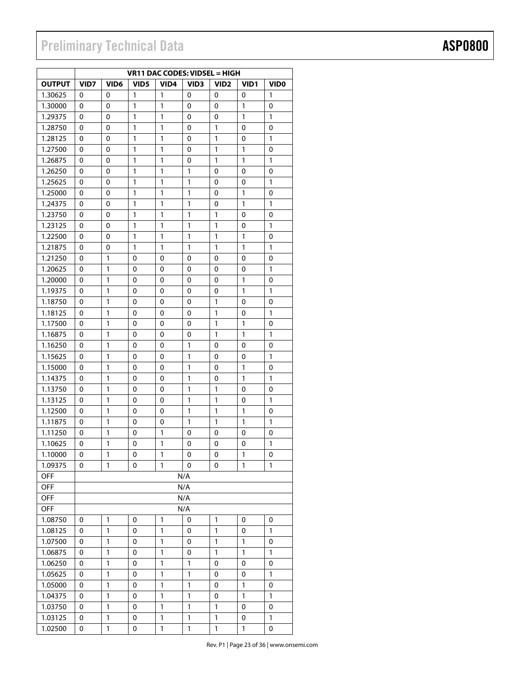# **Preliminary Technical Data**

|               | VR11 DAC CODES: VIDSEL = HIGH |                  |                  |              |                  |                  |                  |                  |  |  |
|---------------|-------------------------------|------------------|------------------|--------------|------------------|------------------|------------------|------------------|--|--|
| <b>OUTPUT</b> | VID7                          | VID <sub>6</sub> | VID <sub>5</sub> | VID4         | VID <sub>3</sub> | VID <sub>2</sub> | VID <sub>1</sub> | VID <sub>0</sub> |  |  |
| 1.30625       | 0                             | 0                | 1                | $\mathbf{1}$ | 0                | 0                | 0                | 1                |  |  |
| 1.30000       | 0                             | 0                | 1                | 1            | 0                | 0                | 1                | 0                |  |  |
| 1.29375       | 0                             | 0                | 1                | $\mathbf{1}$ | 0                | 0                | 1                | 1                |  |  |
| 1.28750       | 0                             | 0                | 1                | 1            | 0                | 1                | 0                | 0                |  |  |
| 1.28125       | 0                             | 0                | 1                | 1            | 0                | 1                | 0                | 1                |  |  |
| 1.27500       | 0                             | 0                | 1                | 1            | 0                | 1                | 1                | 0                |  |  |
| 1.26875       | 0                             | 0                | 1                | 1            | 0                | $\mathbf{1}$     | 1                | 1                |  |  |
| 1.26250       | 0                             | 0                | 1                | 1            | 1                | 0                | $\mathbf{0}$     | 0                |  |  |
| 1.25625       | 0                             | 0                | 1                | 1            | 1                | 0                | 0                | 1                |  |  |
| 1.25000       | 0                             | 0                | 1                | 1            | 1                | 0                | 1                | 0                |  |  |
| 1.24375       | 0                             | 0                | 1                | 1            | 1                | 0                | 1                | $\mathbf{1}$     |  |  |
| 1.23750       | 0                             | 0                | 1                | $\mathbf{1}$ | 1                | $\mathbf{1}$     | $\mathbf{0}$     | $\mathbf 0$      |  |  |
| 1.23125       | 0                             | 0                | 1                | 1            | 1                | 1                | 0                | 1                |  |  |
| 1.22500       | 0                             | 0                | 1                | 1            | 1                | 1                | 1                | 0                |  |  |
| 1.21875       | 0                             | 0                | 1                | 1            | 1                | 1                | 1                | 1                |  |  |
| 1.21250       | 0                             | 1                | 0                | 0            | 0                | 0                | 0                | 0                |  |  |
| 1.20625       | 0                             | 1                | 0                | 0            | 0                | 0                | 0                | 1                |  |  |
| 1.20000       | 0                             | 1                | 0                | 0            | 0                | 0                | 1                | 0                |  |  |
| 1.19375       | 0                             | 1                | 0                | 0            | 0                | 0                | 1                | 1                |  |  |
| 1.18750       | 0                             | 1                | 0                | 0            | 0                | 1                | 0                | 0                |  |  |
| 1.18125       | 0                             | 1                | 0                | 0            | $\Omega$         | $\mathbf{1}$     | 0                | $\mathbf{1}$     |  |  |
| 1.17500       | 0                             | 1                | 0                | 0            | 0                | 1                | $\mathbf{1}$     | 0                |  |  |
| 1.16875       | 0                             | 1                | 0                | 0            | 0                | 1                | 1                | 1                |  |  |
| 1.16250       | 0                             | 1                | 0                | 0            | 1                | 0                | 0                | 0                |  |  |
| 1.15625       | 0                             | 1                | 0                | 0            | 1                | 0                | 0                | 1                |  |  |
| 1.15000       | 0                             | 1                | 0                | 0            | 1                | 0                | 1                | 0                |  |  |
| 1.14375       | 0                             | 1                | 0                | 0            | 1                | 0                | 1                | 1                |  |  |
| 1.13750       | 0                             | 1                | 0                | 0            | 1                | 1                | 0                | 0                |  |  |
| 1.13125       | 0                             | 1                | 0                | 0            | 1                | 1                | 0                | $\mathbf{1}$     |  |  |
| 1.12500       | 0                             | 1                | 0                | 0            | $\mathbf{1}$     | $\mathbf{1}$     | 1                | 0                |  |  |
| 1.11875       | 0                             | 1                | 0                | 0            | $\mathbf{1}$     | 1                | $\mathbf{1}$     | $\mathbf{1}$     |  |  |
| 1.11250       | 0                             | 1                | 0                | 1            | 0                | 0                | 0                | 0                |  |  |
| 1.10625       | 0                             | 1                | 0                | $\mathbf{1}$ | 0                | 0                | 0                | 1                |  |  |
| 1.10000       | 0                             | 1                | 0                | 1            | 0                | 0                | 1                | 0                |  |  |
| 1.09375       | 0                             | 1                | 0                | 1            | 0                | 0                | 1                | 1                |  |  |
| <b>OFF</b>    |                               |                  |                  |              | N/A              |                  |                  |                  |  |  |
| <b>OFF</b>    |                               |                  |                  |              | N/A              |                  |                  |                  |  |  |
| OFF           |                               |                  |                  |              | N/A              |                  |                  |                  |  |  |
| <b>OFF</b>    |                               |                  |                  |              | N/A              |                  |                  |                  |  |  |
| 1.08750       | 0                             | 1                | 0                | 1            | 0                | 1                | 0                | 0                |  |  |
| 1.08125       | 0                             | 1                | 0                | 1            | 0                | 1                | 0                | 1                |  |  |
| 1.07500       | 0                             | 1                | 0                | 1            | 0                | 1                | 1                | 0                |  |  |
| 1.06875       | 0                             | 1                | 0                | 1            | 0                | 1                | 1                | 1                |  |  |
| 1.06250       | 0                             | 1                | 0                | 1            | 1                | 0                | 0                | 0                |  |  |
| 1.05625       | 0                             | 1                | 0                | 1            | 1                | 0                | 0                | 1                |  |  |
| 1.05000       | 0                             | 1                | 0                | 1            | 1                | 0                | 1                | 0                |  |  |
| 1.04375       | 0                             | 1                | 0                | 1            | 1                | 0                | 1                | 1                |  |  |
| 1.03750       | 0                             | 1                | 0                | 1            | 1                | 1                | 0                | 0                |  |  |
| 1.03125       | 0                             | 1                | 0                | 1            | 1                | 1                | 0                | 1                |  |  |
| 1.02500       | 0                             | 1                | 0                | 1            | 1                | 1                | 1                | 0                |  |  |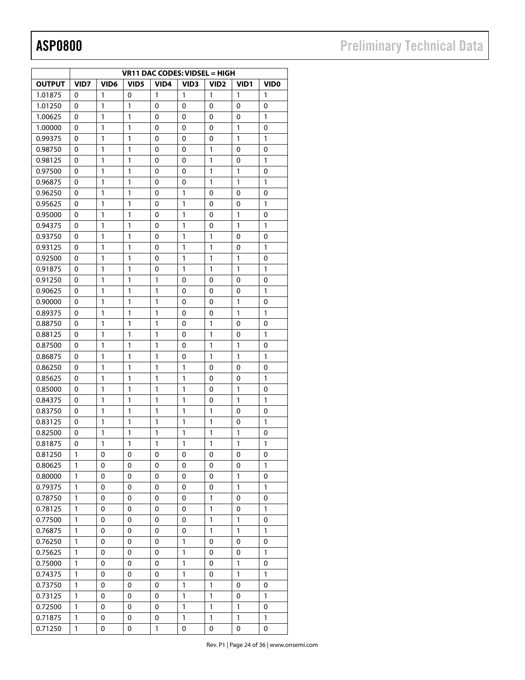|               |              |                  |                  |                  | VR11 DAC CODES: VIDSEL = HIGH |                  |                  |                  |
|---------------|--------------|------------------|------------------|------------------|-------------------------------|------------------|------------------|------------------|
| <b>OUTPUT</b> | VID7         | VID <sub>6</sub> | VID <sub>5</sub> | VID <sub>4</sub> | VID <sub>3</sub>              | VID <sub>2</sub> | VID <sub>1</sub> | VID <sub>0</sub> |
| 1.01875       | 0            | 1                | 0                | 1                | 1                             | 1                | 1                | 1                |
| 1.01250       | 0            | 1                | 1                | 0                | 0                             | 0                | 0                | 0                |
| 1.00625       | 0            | 1                | 1                | 0                | 0                             | 0                | 0                | 1                |
| 1.00000       | 0            | 1                | 1                | 0                | 0                             | 0                | $\mathbf{1}$     | 0                |
| 0.99375       | $\Omega$     | 1                | $\mathbf{1}$     | $\mathbf{0}$     | 0                             | $\mathbf 0$      | 1                | 1                |
| 0.98750       | 0            | 1                | $\mathbf{1}$     | 0                | 0                             | $\mathbf{1}$     | 0                | 0                |
| 0.98125       | 0            | 1                | 1                | 0                | 0                             | $\mathbf{1}$     | 0                | 1                |
| 0.97500       | 0            | 1                | 1                | 0                | 0                             | $\mathbf{1}$     | 1                | 0                |
| 0.96875       | 0            | 1                | 1                | 0                | 0                             | 1                | 1                | 1                |
| 0.96250       | 0            | 1                | 1                | 0                | 1                             | 0                | 0                | 0                |
| 0.95625       | 0            | 1                | 1                | 0                | 1                             | 0                | 0                | 1                |
| 0.95000       | 0            | 1                | 1                | 0                | 1                             | 0                | 1                | 0                |
| 0.94375       | 0            | 1                | 1                | 0                | $\mathbf{1}$                  | 0                | $\mathbf{1}$     | $\mathbf{1}$     |
| 0.93750       | $\Omega$     | 1                | 1                | $\Omega$         | 1                             | 1                | $\mathbf{0}$     | 0                |
| 0.93125       | 0            | 1                | 1                | 0                | 1                             | $\mathbf{1}$     | 0                | 1                |
| 0.92500       | $\mathbf 0$  | 1                | 1                | 0                | 1                             | $\mathbf{1}$     | 1                | 0                |
| 0.91875       | 0            | 1                | 1                | 0                | 1                             | 1                | 1                | 1                |
| 0.91250       | 0            | 1                | 1                | 1                | 0                             | 0                | 0                | 0                |
|               |              | 1                | 1                | 1                | 0                             | 0                |                  | 1                |
| 0.90625       | 0            |                  |                  |                  |                               |                  | 0                |                  |
| 0.90000       | 0            | 1                | 1                | 1                | 0                             | 0                | 1                | 0                |
| 0.89375       | 0            | 1                | 1                | 1                | 0                             | 0                | 1                | 1                |
| 0.88750       | 0            | 1                | $\mathbf{1}$     | $\mathbf{1}$     | 0                             | $\mathbf{1}$     | 0                | 0                |
| 0.88125       | 0            | 1                | 1                | 1                | 0                             | 1                | 0                | $\mathbf{1}$     |
| 0.87500       | 0            | 1                | $\mathbf{1}$     | 1                | 0                             | $\mathbf{1}$     | $\mathbf{1}$     | 0                |
| 0.86875       | 0            | 1                | 1                | 1                | 0                             | 1                | $\mathbf{1}$     | 1                |
| 0.86250       | 0            | 1                | $\mathbf{1}$     | $\mathbf{1}$     | $\mathbf{1}$                  | 0                | 0                | 0                |
| 0.85625       | 0            | 1                | 1                | 1                | $\mathbf{1}$                  | 0                | 0                | 1                |
| 0.85000       | 0            | 1                | 1                | 1                | 1                             | 0                | 1                | 0                |
| 0.84375       | 0            | 1                | 1                | 1                | 1                             | 0                | 1                | 1                |
| 0.83750       | 0            | 1                | 1                | 1                | 1                             | 1                | 0                | 0                |
| 0.83125       | 0            | 1                | 1                | 1                | $\mathbf{1}$                  | $\mathbf{1}$     | 0                | $\mathbf{1}$     |
| 0.82500       | 0            | 1                | 1                | 1                | 1                             | 1                | 1                | 0                |
| 0.81875       | 0            | 1                | 1                | 1                | 1                             | 1                | 1                | 1                |
| 0.81250       | 1            | 0                | 0                | 0                | 0                             | 0                | 0                | 0                |
| 0.80625       | 1            | 0                | 0                | 0                | 0                             | 0                | 0                | 1                |
| 0.80000       | $\mathbf{1}$ | $\pmb{0}$        | 0                | 0                | 0                             | 0                | 1                | 0                |
| 0.79375       | 1            | 0                | 0                | 0                | 0                             | 0                | 1                | 1                |
| 0.78750       | 1            | 0                | 0                | 0                | 0                             | 1                | 0                | 0                |
| 0.78125       | 1            | 0                | 0                | 0                | 0                             | 1                | 0                | 1                |
| 0.77500       | 1            | 0                | 0                | 0                | 0                             | 1                | 1                | 0                |
| 0.76875       | 1            | 0                | 0                | 0                | 0                             | 1                | 1                | 1                |
| 0.76250       | 1            | 0                | 0                | 0                | 1                             | 0                | 0                | 0                |
| 0.75625       | 1            | 0                | 0                | 0                | 1                             | 0                | 0                | 1                |
| 0.75000       | 1            | 0                | 0                | 0                | $\mathbf{1}$                  | 0                | $\mathbf{1}$     | 0                |
| 0.74375       | 1            | 0                | 0                | 0                | $\mathbf 1$                   | 0                | 1                | 1                |
| 0.73750       | 1            | 0                | 0                | 0                | $\mathbf{1}$                  | 1                | 0                | 0                |
| 0.73125       | 1            | 0                | 0                | 0                | $\mathbf{1}$                  | 1                | 0                | 1                |
| 0.72500       | 1            | 0                | 0                | 0                | $\mathbf 1$                   | $\mathbf{1}$     | 1                | 0                |
| 0.71875       | $\mathbf{1}$ | 0                | 0                | 0                | 1                             | 1                | 1                | $\mathbbm{1}$    |
| 0.71250       | 1            | 0                | 0                | 1                | 0                             | 0                | 0                | 0                |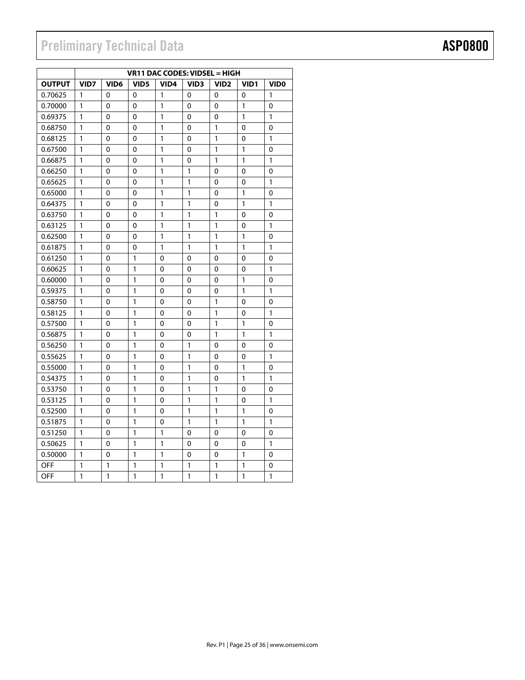# Preliminary Technical Data **ASP0800**

|               | VR11 DAC CODES: VIDSEL = HIGH |                  |                  |              |                  |                  |              |              |  |  |
|---------------|-------------------------------|------------------|------------------|--------------|------------------|------------------|--------------|--------------|--|--|
| <b>OUTPUT</b> | VID7                          | VID <sub>6</sub> | VID <sub>5</sub> | VID4         | VID <sub>3</sub> | VID <sub>2</sub> | VID1         | <b>VIDO</b>  |  |  |
| 0.70625       | 1                             | 0                | 0                | 1            | 0                | 0                | 0            | 1            |  |  |
| 0.70000       | 1                             | 0                | 0                | 1            | 0                | 0                | 1            | 0            |  |  |
| 0.69375       | 1                             | 0                | 0                | 1            | 0                | 0                | 1            | 1            |  |  |
| 0.68750       | 1                             | 0                | 0                | 1            | 0                | 1                | 0            | 0            |  |  |
| 0.68125       | 1                             | 0                | 0                | 1            | 0                | 1                | $\mathbf{0}$ | 1            |  |  |
| 0.67500       | 1                             | 0                | $\mathbf 0$      | 1            | 0                | 1                | 1            | 0            |  |  |
| 0.66875       | 1                             | $\mathbf{0}$     | $\mathbf 0$      | 1            | 0                | 1                | $\mathbf{1}$ | $\mathbf{1}$ |  |  |
| 0.66250       | 1                             | 0                | 0                | $\mathbf{1}$ | 1                | 0                | 0            | 0            |  |  |
| 0.65625       | 1                             | 0                | 0                | 1            | 1                | 0                | 0            | 1            |  |  |
| 0.65000       | 1                             | 0                | 0                | 1            | 1                | 0                | 1            | 0            |  |  |
| 0.64375       | 1                             | 0                | 0                | 1            | 1                | $\mathbf 0$      | 1            | 1            |  |  |
| 0.63750       | 1                             | 0                | $\mathbf 0$      | 1            | 1                | 1                | $\mathbf 0$  | 0            |  |  |
| 0.63125       | 1                             | 0                | $\mathbf 0$      | 1            | $\mathbf{1}$     | 1                | $\mathbf{0}$ | 1            |  |  |
| 0.62500       | 1                             | 0                | 0                | 1            | 1                | 1                | 1            | 0            |  |  |
| 0.61875       | 1                             | 0                | 0                | 1            | 1                | 1                | 1            | $\mathbf{1}$ |  |  |
| 0.61250       | 1                             | 0                | 1                | 0            | 0                | 0                | 0            | 0            |  |  |
| 0.60625       | 1                             | $\mathbf 0$      | 1                | $\mathbf 0$  | 0                | $\mathbf 0$      | $\mathbf{0}$ | $\mathbf{1}$ |  |  |
| 0.60000       | 1                             | 0                | 1                | 0            | 0                | 0                | 1            | 0            |  |  |
| 0.59375       | 1                             | 0                | $\mathbf{1}$     | 0            | 0                | 0                | $\mathbf{1}$ | $\mathbf{1}$ |  |  |
| 0.58750       | 1                             | 0                | 1                | 0            | 0                | 1                | 0            | 0            |  |  |
| 0.58125       | 1                             | 0                | 1                | 0            | 0                | 1                | 0            | 1            |  |  |
| 0.57500       | 1                             | 0                | 1                | 0            | 0                | 1                | 1            | 0            |  |  |
| 0.56875       | 1                             | 0                | 1                | 0            | 0                | 1                | 1            | 1            |  |  |
| 0.56250       | 1                             | 0                | 1                | 0            | 1                | 0                | 0            | 0            |  |  |
| 0.55625       | 1                             | 0                | 1                | 0            | 1                | 0                | 0            | 1            |  |  |
| 0.55000       | 1                             | 0                | 1                | 0            | 1                | 0                | 1            | 0            |  |  |
| 0.54375       | 1                             | 0                | 1                | 0            | 1                | 0                | 1            | 1            |  |  |
| 0.53750       | 1                             | 0                | 1                | 0            | 1                | 1                | 0            | 0            |  |  |
| 0.53125       | 1                             | 0                | 1                | 0            | 1                | 1                | $\mathbf{0}$ | 1            |  |  |
| 0.52500       | 1                             | 0                | 1                | 0            | 1                | 1                | 1            | 0            |  |  |
| 0.51875       | 1                             | 0                | 1                | 0            | 1                | 1                | 1            | 1            |  |  |
| 0.51250       | 1                             | 0                | 1                | 1            | 0                | 0                | 0            | 0            |  |  |
| 0.50625       | 1                             | 0                | 1                | 1            | 0                | 0                | 0            | 1            |  |  |
| 0.50000       | 1                             | 0                | 1                | 1            | 0                | 0                | 1            | 0            |  |  |
| <b>OFF</b>    | 1                             | 1                | 1                | 1            | 1                | 1                | 1            | 0            |  |  |
| <b>OFF</b>    | 1                             | 1                | 1                | 1            | 1                | 1                | 1            | 1            |  |  |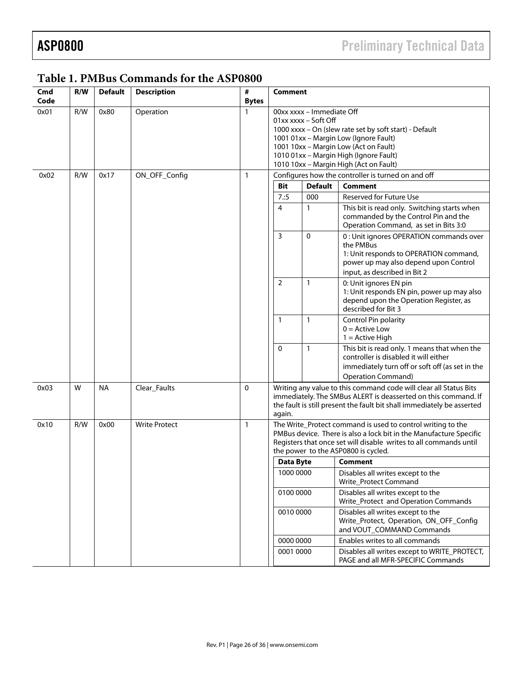| Cmd<br>Code | R/W | <b>Default</b> | <b>Description</b>   | #<br><b>Bytes</b> | <b>Comment</b>                                                                 |                                                                                                                                     |                                                                                                                                          |  |
|-------------|-----|----------------|----------------------|-------------------|--------------------------------------------------------------------------------|-------------------------------------------------------------------------------------------------------------------------------------|------------------------------------------------------------------------------------------------------------------------------------------|--|
| 0x01        | R/W | 0x80           | Operation            |                   | 00xx xxxx - Immediate Off                                                      |                                                                                                                                     |                                                                                                                                          |  |
|             |     |                |                      |                   | 01xx xxxx - Soft Off<br>1000 xxxx - On (slew rate set by soft start) - Default |                                                                                                                                     |                                                                                                                                          |  |
|             |     |                |                      |                   |                                                                                |                                                                                                                                     |                                                                                                                                          |  |
|             |     |                |                      |                   |                                                                                |                                                                                                                                     | 1001 01xx - Margin Low (Ignore Fault)                                                                                                    |  |
|             |     |                |                      |                   |                                                                                |                                                                                                                                     | 1001 10xx - Margin Low (Act on Fault)<br>1010 01xx - Margin High (Ignore Fault)                                                          |  |
|             |     |                |                      |                   |                                                                                |                                                                                                                                     | 1010 10xx - Margin High (Act on Fault)                                                                                                   |  |
| 0x02        | R/W | 0x17           | ON_OFF_Config        | 1                 |                                                                                |                                                                                                                                     | Configures how the controller is turned on and off                                                                                       |  |
|             |     |                |                      |                   | Bit                                                                            | <b>Default</b>                                                                                                                      | <b>Comment</b>                                                                                                                           |  |
|             |     |                |                      |                   | 7:5                                                                            | 000                                                                                                                                 | <b>Reserved for Future Use</b>                                                                                                           |  |
|             |     |                |                      |                   | 4                                                                              | 1                                                                                                                                   | This bit is read only. Switching starts when<br>commanded by the Control Pin and the<br>Operation Command, as set in Bits 3:0            |  |
|             |     |                |                      |                   | 3                                                                              | 0                                                                                                                                   | 0 : Unit ignores OPERATION commands over<br>the PMBus<br>1: Unit responds to OPERATION command,<br>power up may also depend upon Control |  |
|             |     |                |                      |                   |                                                                                |                                                                                                                                     | input, as described in Bit 2                                                                                                             |  |
|             |     |                |                      |                   | $\overline{2}$                                                                 | $\mathbf{1}$                                                                                                                        | 0: Unit ignores EN pin                                                                                                                   |  |
|             |     |                |                      |                   |                                                                                |                                                                                                                                     | 1: Unit responds EN pin, power up may also                                                                                               |  |
|             |     |                |                      |                   |                                                                                |                                                                                                                                     | depend upon the Operation Register, as<br>described for Bit 3                                                                            |  |
|             |     |                |                      |                   | $\mathbf{1}$                                                                   | 1                                                                                                                                   | Control Pin polarity                                                                                                                     |  |
|             |     |                |                      |                   |                                                                                |                                                                                                                                     | $0 =$ Active Low                                                                                                                         |  |
|             |     |                |                      |                   |                                                                                |                                                                                                                                     | $1 =$ Active High                                                                                                                        |  |
|             |     |                |                      |                   | $\mathbf 0$                                                                    | 1                                                                                                                                   | This bit is read only. 1 means that when the<br>controller is disabled it will either                                                    |  |
|             |     |                |                      |                   |                                                                                |                                                                                                                                     | immediately turn off or soft off (as set in the                                                                                          |  |
|             |     |                |                      |                   |                                                                                |                                                                                                                                     | <b>Operation Command)</b>                                                                                                                |  |
| 0x03        | W   | <b>NA</b>      | Clear_Faults         | $\Omega$          |                                                                                | Writing any value to this command code will clear all Status Bits<br>immediately. The SMBus ALERT is deasserted on this command. If |                                                                                                                                          |  |
|             |     |                |                      |                   | again.                                                                         |                                                                                                                                     | the fault is still present the fault bit shall immediately be asserted                                                                   |  |
| 0x10        | R/W | 0x00           | <b>Write Protect</b> | $\mathbf{1}$      |                                                                                |                                                                                                                                     | The Write_Protect command is used to control writing to the                                                                              |  |
|             |     |                |                      |                   |                                                                                |                                                                                                                                     | PMBus device. There is also a lock bit in the Manufacture Specific                                                                       |  |
|             |     |                |                      |                   |                                                                                |                                                                                                                                     | Registers that once set will disable writes to all commands until                                                                        |  |
|             |     |                |                      |                   |                                                                                |                                                                                                                                     | the power to the ASP0800 is cycled.                                                                                                      |  |
|             |     |                |                      |                   | <b>Data Byte</b>                                                               |                                                                                                                                     | <b>Comment</b>                                                                                                                           |  |
|             |     |                |                      |                   | 1000 0000                                                                      |                                                                                                                                     | Disables all writes except to the                                                                                                        |  |
|             |     |                |                      |                   |                                                                                |                                                                                                                                     | Write_Protect Command                                                                                                                    |  |
|             |     |                |                      |                   | 0100 0000                                                                      |                                                                                                                                     | Disables all writes except to the<br>Write_Protect and Operation Commands                                                                |  |
|             |     |                |                      |                   | 0010 0000                                                                      |                                                                                                                                     | Disables all writes except to the                                                                                                        |  |
|             |     |                |                      |                   |                                                                                |                                                                                                                                     | Write_Protect, Operation, ON_OFF_Config<br>and VOUT_COMMAND Commands                                                                     |  |
|             |     |                |                      |                   | 0000 0000                                                                      |                                                                                                                                     | Enables writes to all commands                                                                                                           |  |
|             |     |                |                      |                   | 0001 0000                                                                      |                                                                                                                                     | Disables all writes except to WRITE_PROTECT,                                                                                             |  |
|             |     |                |                      |                   |                                                                                |                                                                                                                                     | PAGE and all MFR-SPECIFIC Commands                                                                                                       |  |

# **Table 1. PMBus Commands for the ASP0800**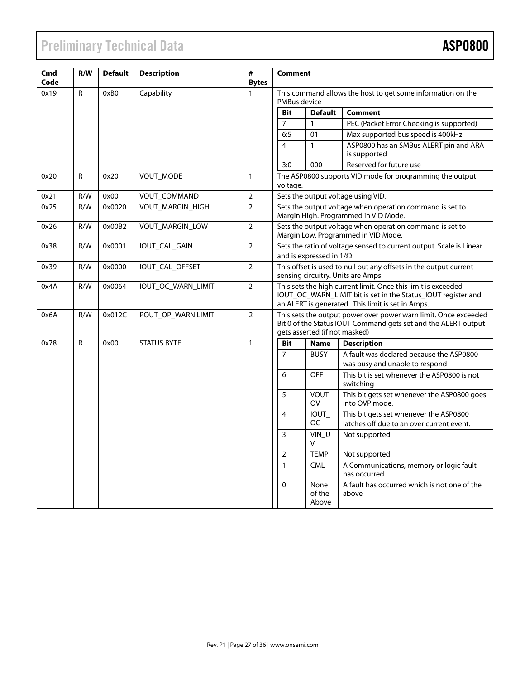# Preliminary Technical Data **ASP0800**

| Cmd<br>Code | R/W          | <b>Default</b> | <b>Description</b> | #<br><b>Bytes</b> | <b>Comment</b>                                                                                                                                                                      |                                                          |                                                                                                                                   |  |
|-------------|--------------|----------------|--------------------|-------------------|-------------------------------------------------------------------------------------------------------------------------------------------------------------------------------------|----------------------------------------------------------|-----------------------------------------------------------------------------------------------------------------------------------|--|
| 0x19        | $\mathsf{R}$ | 0xB0           | Capability         | $\mathbf{1}$      | PMBus device                                                                                                                                                                        |                                                          | This command allows the host to get some information on the                                                                       |  |
|             |              |                |                    |                   | <b>Bit</b>                                                                                                                                                                          | <b>Default</b>                                           | <b>Comment</b>                                                                                                                    |  |
|             |              |                |                    |                   | $\overline{7}$                                                                                                                                                                      | $\mathbf{1}$                                             | PEC (Packet Error Checking is supported)                                                                                          |  |
|             |              |                |                    |                   | 6:5                                                                                                                                                                                 | 01                                                       | Max supported bus speed is 400kHz                                                                                                 |  |
|             |              |                |                    |                   | 4                                                                                                                                                                                   | $\mathbf{1}$                                             | ASP0800 has an SMBus ALERT pin and ARA<br>is supported                                                                            |  |
|             |              |                |                    |                   | 3:0                                                                                                                                                                                 | 000                                                      | Reserved for future use                                                                                                           |  |
| 0x20        | R            | 0x20           | VOUT_MODE          | $\mathbf{1}$      | voltage.                                                                                                                                                                            | The ASP0800 supports VID mode for programming the output |                                                                                                                                   |  |
| 0x21        | R/W          | 0x00           | VOUT_COMMAND       | $\overline{2}$    |                                                                                                                                                                                     |                                                          | Sets the output voltage using VID.                                                                                                |  |
| 0x25        | R/W          | 0x0020         | VOUT_MARGIN_HIGH   | $\overline{2}$    |                                                                                                                                                                                     |                                                          | Sets the output voltage when operation command is set to<br>Margin High. Programmed in VID Mode.                                  |  |
| 0x26        | R/W          | 0x00B2         | VOUT_MARGIN_LOW    | $\overline{2}$    | Sets the output voltage when operation command is set to<br>Margin Low. Programmed in VID Mode.                                                                                     |                                                          |                                                                                                                                   |  |
| 0x38        | R/W          | 0x0001         | IOUT_CAL_GAIN      | $\overline{2}$    | Sets the ratio of voltage sensed to current output. Scale is Linear<br>and is expressed in $1/\Omega$                                                                               |                                                          |                                                                                                                                   |  |
| 0x39        | R/W          | 0x0000         | IOUT CAL OFFSET    | $\overline{2}$    | This offset is used to null out any offsets in the output current<br>sensing circuitry. Units are Amps                                                                              |                                                          |                                                                                                                                   |  |
| 0x4A        | R/W          | 0x0064         | IOUT_OC_WARN_LIMIT | $\overline{2}$    | This sets the high current limit. Once this limit is exceeded<br>IOUT_OC_WARN_LIMIT bit is set in the Status_IOUT register and<br>an ALERT is generated. This limit is set in Amps. |                                                          |                                                                                                                                   |  |
| 0x6A        | R/W          | 0x012C         | POUT_OP_WARN LIMIT | $\overline{2}$    |                                                                                                                                                                                     | gets asserted (if not masked)                            | This sets the output power over power warn limit. Once exceeded<br>Bit 0 of the Status IOUT Command gets set and the ALERT output |  |
| 0x78        | $\mathsf{R}$ | 0x00           | <b>STATUS BYTE</b> | $\mathbf{1}$      | <b>Bit</b>                                                                                                                                                                          | <b>Name</b>                                              | <b>Description</b>                                                                                                                |  |
|             |              |                |                    |                   | $\overline{7}$                                                                                                                                                                      | <b>BUSY</b>                                              | A fault was declared because the ASP0800<br>was busy and unable to respond                                                        |  |
|             |              |                |                    |                   | 6                                                                                                                                                                                   | <b>OFF</b>                                               | This bit is set whenever the ASP0800 is not<br>switching                                                                          |  |
|             |              |                |                    |                   | 5                                                                                                                                                                                   | VOUT<br><b>OV</b>                                        | This bit gets set whenever the ASP0800 goes<br>into OVP mode.                                                                     |  |
|             |              |                |                    |                   | $\overline{4}$                                                                                                                                                                      | IOUT_<br><b>OC</b>                                       | This bit gets set whenever the ASP0800<br>latches off due to an over current event.                                               |  |
|             |              |                |                    |                   | 3                                                                                                                                                                                   | VIN_U<br>v                                               | Not supported                                                                                                                     |  |
|             |              |                |                    |                   | $\overline{2}$                                                                                                                                                                      | <b>TEMP</b>                                              | Not supported                                                                                                                     |  |
|             |              |                |                    |                   | $\mathbf{1}$                                                                                                                                                                        | <b>CML</b>                                               | A Communications, memory or logic fault<br>has occurred                                                                           |  |
|             |              |                |                    |                   | $\mathbf{0}$                                                                                                                                                                        | None<br>of the<br>Above                                  | A fault has occurred which is not one of the<br>above                                                                             |  |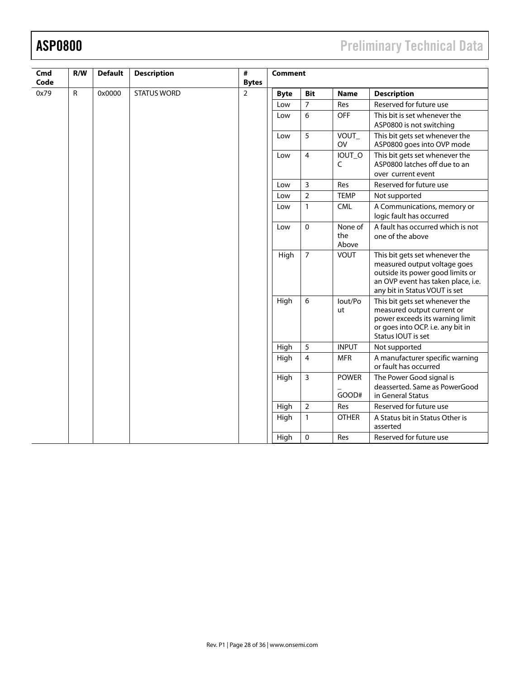# ASP0800 Preliminary Technical Data

| Cmd<br>Code | R/W          | <b>Default</b> | <b>Description</b> | $\#$<br><b>Bytes</b> |             | <b>Comment</b>                                                                        |                         |                                                                                                                                                                           |  |  |
|-------------|--------------|----------------|--------------------|----------------------|-------------|---------------------------------------------------------------------------------------|-------------------------|---------------------------------------------------------------------------------------------------------------------------------------------------------------------------|--|--|
| 0x79        | $\mathsf{R}$ | 0x0000         | <b>STATUS WORD</b> | $\overline{2}$       | <b>Byte</b> | <b>Bit</b>                                                                            | <b>Name</b>             | <b>Description</b>                                                                                                                                                        |  |  |
|             |              |                |                    |                      | Low         | $\overline{7}$                                                                        | Res                     | Reserved for future use                                                                                                                                                   |  |  |
|             |              |                |                    |                      | Low         | 6                                                                                     | OFF                     | This bit is set whenever the<br>ASP0800 is not switching                                                                                                                  |  |  |
|             |              |                |                    |                      | Low         | 5                                                                                     | VOUT_<br><b>OV</b>      | This bit gets set whenever the<br>ASP0800 goes into OVP mode                                                                                                              |  |  |
|             |              |                | Low                | $\overline{4}$       | IOUT_O<br>C | This bit gets set whenever the<br>ASP0800 latches off due to an<br>over current event |                         |                                                                                                                                                                           |  |  |
|             |              |                |                    |                      | Low         | $\overline{3}$                                                                        | Res                     | Reserved for future use                                                                                                                                                   |  |  |
|             |              |                |                    |                      | Low         | $\overline{2}$                                                                        | <b>TEMP</b>             | Not supported                                                                                                                                                             |  |  |
|             |              |                |                    |                      | Low         | $\mathbf{1}$                                                                          | <b>CML</b>              | A Communications, memory or<br>logic fault has occurred                                                                                                                   |  |  |
|             |              |                |                    |                      | Low         | 0                                                                                     | None of<br>the<br>Above | A fault has occurred which is not<br>one of the above                                                                                                                     |  |  |
|             |              |                |                    |                      | High        | $\overline{7}$                                                                        | <b>VOUT</b>             | This bit gets set whenever the<br>measured output voltage goes<br>outside its power good limits or<br>an OVP event has taken place, i.e.<br>any bit in Status VOUT is set |  |  |
|             |              |                |                    |                      | High        | 6                                                                                     | lout/Po<br>ut           | This bit gets set whenever the<br>measured output current or<br>power exceeds its warning limit<br>or goes into OCP. i.e. any bit in<br>Status IOUT is set                |  |  |
|             |              |                |                    |                      | High        | 5                                                                                     | <b>INPUT</b>            | Not supported                                                                                                                                                             |  |  |
|             |              |                |                    |                      | High        | $\overline{\mathbf{4}}$                                                               | <b>MFR</b>              | A manufacturer specific warning<br>or fault has occurred                                                                                                                  |  |  |
|             |              |                |                    |                      | High        | $\overline{3}$                                                                        | <b>POWER</b>            | The Power Good signal is                                                                                                                                                  |  |  |
|             |              |                |                    |                      |             |                                                                                       | GOOD#                   | deasserted. Same as PowerGood<br>in General Status                                                                                                                        |  |  |
|             |              |                |                    |                      | High        | $\overline{2}$                                                                        | Res                     | Reserved for future use                                                                                                                                                   |  |  |
|             |              |                |                    |                      | High        | 1                                                                                     | <b>OTHER</b>            | A Status bit in Status Other is<br>asserted                                                                                                                               |  |  |
|             |              |                |                    |                      | High        | $\mathbf 0$                                                                           | Res                     | Reserved for future use                                                                                                                                                   |  |  |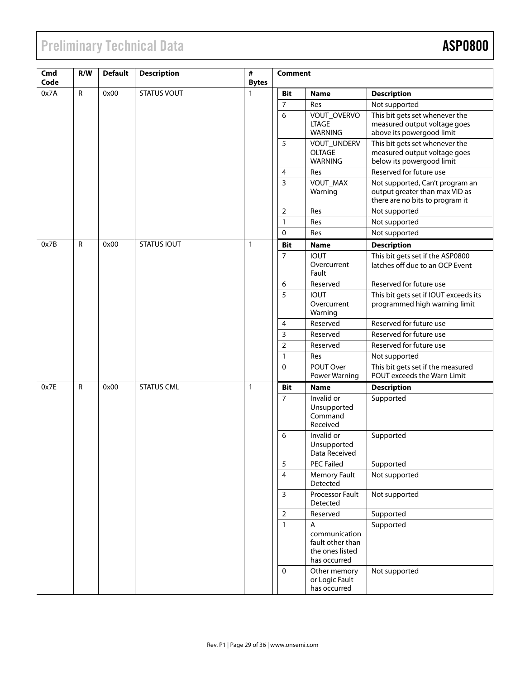# **Preliminary Technical Data**

| Cmd<br>Code | R/W          | <b>Default</b> | <b>Description</b> | #<br><b>Bytes</b> | <b>Comment</b> |                                                                           |                                                                                                      |
|-------------|--------------|----------------|--------------------|-------------------|----------------|---------------------------------------------------------------------------|------------------------------------------------------------------------------------------------------|
| 0x7A        | R            | 0x00           | <b>STATUS VOUT</b> | $\mathbf{1}$      | <b>Bit</b>     | <b>Name</b>                                                               | <b>Description</b>                                                                                   |
|             |              |                |                    |                   | $\overline{7}$ | Res                                                                       | Not supported                                                                                        |
|             |              |                |                    |                   | 6              | VOUT_OVERVO<br><b>LTAGE</b><br><b>WARNING</b>                             | This bit gets set whenever the<br>measured output voltage goes<br>above its powergood limit          |
|             |              |                |                    |                   | 5              | VOUT_UNDERV<br><b>OLTAGE</b><br><b>WARNING</b>                            | This bit gets set whenever the<br>measured output voltage goes<br>below its powergood limit          |
|             |              |                |                    |                   | $\overline{4}$ | Res                                                                       | Reserved for future use                                                                              |
|             |              |                |                    |                   | $\overline{3}$ | VOUT_MAX<br>Warning                                                       | Not supported, Can't program an<br>output greater than max VID as<br>there are no bits to program it |
|             |              |                |                    |                   | $\overline{2}$ | Res                                                                       | Not supported                                                                                        |
|             |              |                |                    |                   | $\mathbf{1}$   | Res                                                                       | Not supported                                                                                        |
|             |              |                |                    |                   | $\mathbf 0$    | Res                                                                       | Not supported                                                                                        |
| 0x7B        | $\mathsf{R}$ | 0x00           | <b>STATUS IOUT</b> | $\mathbf{1}$      | <b>Bit</b>     | <b>Name</b>                                                               | <b>Description</b>                                                                                   |
|             |              |                |                    |                   | 7              | <b>IOUT</b><br>Overcurrent<br>Fault                                       | This bit gets set if the ASP0800<br>latches off due to an OCP Event                                  |
|             |              |                |                    |                   | 6              | Reserved                                                                  | Reserved for future use                                                                              |
|             |              |                |                    |                   | 5              | <b>IOUT</b><br>Overcurrent<br>Warning                                     | This bit gets set if IOUT exceeds its<br>programmed high warning limit                               |
|             |              |                |                    |                   | 4              | Reserved                                                                  | Reserved for future use                                                                              |
|             |              |                |                    |                   | $\mathbf{3}$   | Reserved                                                                  | Reserved for future use                                                                              |
|             |              |                |                    |                   | $\mathbf 2$    | Reserved                                                                  | Reserved for future use                                                                              |
|             |              |                |                    |                   | $\mathbf{1}$   | Res                                                                       | Not supported                                                                                        |
|             |              |                |                    |                   | $\mathbf{0}$   | POUT Over<br>Power Warning                                                | This bit gets set if the measured<br>POUT exceeds the Warn Limit                                     |
| 0x7E        | $\mathsf{R}$ | 0x00           | <b>STATUS CML</b>  | $\mathbf{1}$      | <b>Bit</b>     | <b>Name</b>                                                               | <b>Description</b>                                                                                   |
|             |              |                |                    |                   | $\overline{7}$ | Invalid or<br>Unsupported<br>Command<br>Received                          | Supported                                                                                            |
|             |              |                |                    |                   | 6              | Invalid or<br>Unsupported<br>Data Received                                | Supported                                                                                            |
|             |              |                |                    |                   | 5              | <b>PEC Failed</b>                                                         | Supported                                                                                            |
|             |              |                |                    |                   | $\overline{4}$ | Memory Fault<br>Detected                                                  | Not supported                                                                                        |
|             |              |                |                    |                   | $\overline{3}$ | Processor Fault<br>Detected                                               | Not supported                                                                                        |
|             |              |                |                    |                   | $\mathbf 2$    | Reserved                                                                  | Supported                                                                                            |
|             |              |                |                    |                   | $\mathbf{1}$   | A<br>communication<br>fault other than<br>the ones listed<br>has occurred | Supported                                                                                            |
|             |              |                |                    |                   | $\pmb{0}$      | Other memory<br>or Logic Fault<br>has occurred                            | Not supported                                                                                        |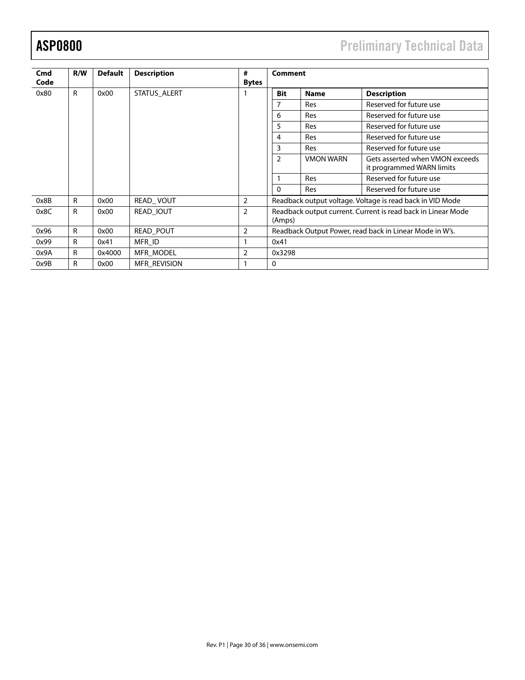# ASP0800 Preliminary Technical Data

| Cmd  | R/W          | <b>Default</b> | <b>Description</b>  | #              | <b>Comment</b>                                                         |                  |                                                              |  |  |
|------|--------------|----------------|---------------------|----------------|------------------------------------------------------------------------|------------------|--------------------------------------------------------------|--|--|
| Code |              |                |                     | <b>Bytes</b>   |                                                                        |                  |                                                              |  |  |
| 0x80 | $\mathsf{R}$ | 0x00           | STATUS ALERT        |                | <b>Bit</b>                                                             | <b>Name</b>      | <b>Description</b>                                           |  |  |
|      |              |                |                     |                | 7                                                                      | <b>Res</b>       | Reserved for future use                                      |  |  |
|      |              |                |                     |                | 6                                                                      | <b>Res</b>       | Reserved for future use                                      |  |  |
|      |              |                |                     |                | 5                                                                      | <b>Res</b>       | Reserved for future use                                      |  |  |
|      |              |                |                     |                | 4                                                                      | <b>Res</b>       | Reserved for future use                                      |  |  |
|      |              |                |                     |                | 3                                                                      | <b>Res</b>       | Reserved for future use                                      |  |  |
|      |              |                |                     |                | $\overline{2}$                                                         | <b>VMON WARN</b> | Gets asserted when VMON exceeds<br>it programmed WARN limits |  |  |
|      |              |                |                     |                |                                                                        | <b>Res</b>       | Reserved for future use                                      |  |  |
|      |              |                |                     |                | $\mathbf 0$                                                            | <b>Res</b>       | Reserved for future use                                      |  |  |
| 0x8B | $\mathsf{R}$ | 0x00           | READ_VOUT           | 2              |                                                                        |                  | Readback output voltage. Voltage is read back in VID Mode    |  |  |
| 0x8C | R            | 0x00           | READ IOUT           | $\overline{2}$ | Readback output current. Current is read back in Linear Mode<br>(Amps) |                  |                                                              |  |  |
| 0x96 | R            | 0x00           | <b>READ POUT</b>    | $\overline{2}$ |                                                                        |                  | Readback Output Power, read back in Linear Mode in W's.      |  |  |
| 0x99 | R            | 0x41           | MFR ID              |                | 0x41                                                                   |                  |                                                              |  |  |
| 0x9A | R            | 0x4000         | <b>MFR MODEL</b>    | $\overline{2}$ | 0x3298                                                                 |                  |                                                              |  |  |
| 0x9B | R            | 0x00           | <b>MFR REVISION</b> |                | 0                                                                      |                  |                                                              |  |  |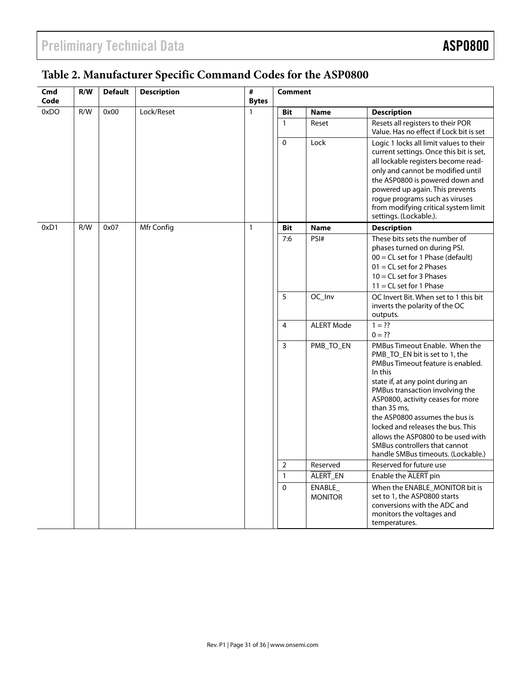# **Table 2. Manufacturer Specific Command Codes for the ASP0800**

| Cmd<br>Code | R/W | <b>Default</b> | <b>Description</b> | #<br><b>Bytes</b> | <b>Comment</b>                                                                                                                                                                                                                                                                                                                           |                           |                                                                                                                                                                                                                                                                                                                                                                                                                                 |
|-------------|-----|----------------|--------------------|-------------------|------------------------------------------------------------------------------------------------------------------------------------------------------------------------------------------------------------------------------------------------------------------------------------------------------------------------------------------|---------------------------|---------------------------------------------------------------------------------------------------------------------------------------------------------------------------------------------------------------------------------------------------------------------------------------------------------------------------------------------------------------------------------------------------------------------------------|
| 0xDO        | R/W | 0x00           | Lock/Reset         | $\mathbf{1}$      | <b>Bit</b>                                                                                                                                                                                                                                                                                                                               | <b>Name</b>               | <b>Description</b>                                                                                                                                                                                                                                                                                                                                                                                                              |
|             |     |                |                    |                   | $\mathbf{1}$                                                                                                                                                                                                                                                                                                                             | Reset                     | Resets all registers to their POR<br>Value. Has no effect if Lock bit is set                                                                                                                                                                                                                                                                                                                                                    |
|             |     |                | $\mathbf 0$        | Lock              | Logic 1 locks all limit values to their<br>current settings. Once this bit is set,<br>all lockable registers become read-<br>only and cannot be modified until<br>the ASP0800 is powered down and<br>powered up again. This prevents<br>rogue programs such as viruses<br>from modifying critical system limit<br>settings. (Lockable.). |                           |                                                                                                                                                                                                                                                                                                                                                                                                                                 |
| 0xD1        | R/W | 0x07           | Mfr Config         | $\mathbf{1}$      | <b>Bit</b>                                                                                                                                                                                                                                                                                                                               | <b>Name</b>               | <b>Description</b>                                                                                                                                                                                                                                                                                                                                                                                                              |
|             |     |                |                    |                   | 7:6                                                                                                                                                                                                                                                                                                                                      | PSI#                      | These bits sets the number of<br>phases turned on during PSI.<br>$00 = CL$ set for 1 Phase (default)<br>$01 = CL$ set for 2 Phases<br>$10 = CL$ set for 3 Phases<br>$11 = CL$ set for 1 Phase                                                                                                                                                                                                                                   |
|             |     |                |                    |                   | 5                                                                                                                                                                                                                                                                                                                                        | OC_Inv                    | OC Invert Bit. When set to 1 this bit<br>inverts the polarity of the OC<br>outputs.                                                                                                                                                                                                                                                                                                                                             |
|             |     |                |                    |                   | $\overline{4}$                                                                                                                                                                                                                                                                                                                           | <b>ALERT Mode</b>         | $1 = ??$<br>$0 = ??$                                                                                                                                                                                                                                                                                                                                                                                                            |
|             |     |                |                    |                   | $\overline{3}$                                                                                                                                                                                                                                                                                                                           | PMB_TO_EN                 | PMBus Timeout Enable. When the<br>PMB_TO_EN bit is set to 1, the<br>PMBus Timeout feature is enabled.<br>In this<br>state if, at any point during an<br>PMBus transaction involving the<br>ASP0800, activity ceases for more<br>than 35 ms,<br>the ASP0800 assumes the bus is<br>locked and releases the bus. This<br>allows the ASP0800 to be used with<br>SMBus controllers that cannot<br>handle SMBus timeouts. (Lockable.) |
|             |     |                |                    |                   | $\overline{2}$                                                                                                                                                                                                                                                                                                                           | Reserved                  | Reserved for future use                                                                                                                                                                                                                                                                                                                                                                                                         |
|             |     |                |                    |                   | $\mathbf{1}$                                                                                                                                                                                                                                                                                                                             | ALERT_EN                  | Enable the ALERT pin                                                                                                                                                                                                                                                                                                                                                                                                            |
|             |     |                |                    |                   | $\Omega$                                                                                                                                                                                                                                                                                                                                 | ENABLE_<br><b>MONITOR</b> | When the ENABLE MONITOR bit is<br>set to 1, the ASP0800 starts<br>conversions with the ADC and<br>monitors the voltages and<br>temperatures.                                                                                                                                                                                                                                                                                    |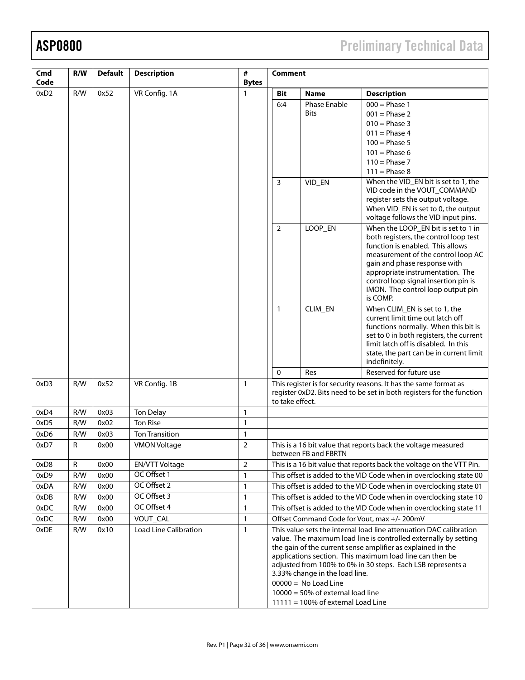ASP0800 Preliminary Technical Data

| Cmd<br>Code | R/W         | <b>Default</b> | <b>Description</b>           | #<br><b>Bytes</b> | <b>Comment</b>                                                                                                                                                                                                                                                                                                                                                                                                                                                                |                                             |                                                                                                                                                                                                                                                                                                                     |  |
|-------------|-------------|----------------|------------------------------|-------------------|-------------------------------------------------------------------------------------------------------------------------------------------------------------------------------------------------------------------------------------------------------------------------------------------------------------------------------------------------------------------------------------------------------------------------------------------------------------------------------|---------------------------------------------|---------------------------------------------------------------------------------------------------------------------------------------------------------------------------------------------------------------------------------------------------------------------------------------------------------------------|--|
| 0xD2        | R/W         | 0x52           | VR Config. 1A                | 1                 | Bit                                                                                                                                                                                                                                                                                                                                                                                                                                                                           | <b>Name</b>                                 | <b>Description</b>                                                                                                                                                                                                                                                                                                  |  |
|             |             |                |                              |                   | 6:4                                                                                                                                                                                                                                                                                                                                                                                                                                                                           | Phase Enable<br><b>Bits</b>                 | $000 = Phase 1$<br>$001$ = Phase 2<br>$010 = Phase 3$<br>$011$ = Phase 4<br>$100 = Phase 5$<br>$101$ = Phase 6<br>$110$ = Phase 7                                                                                                                                                                                   |  |
|             |             |                |                              |                   |                                                                                                                                                                                                                                                                                                                                                                                                                                                                               |                                             | $111 = Phase 8$                                                                                                                                                                                                                                                                                                     |  |
|             |             |                |                              |                   | 3                                                                                                                                                                                                                                                                                                                                                                                                                                                                             | VID_EN                                      | When the VID_EN bit is set to 1, the<br>VID code in the VOUT_COMMAND<br>register sets the output voltage.<br>When VID_EN is set to 0, the output<br>voltage follows the VID input pins.                                                                                                                             |  |
|             |             |                |                              |                   | $\overline{2}$                                                                                                                                                                                                                                                                                                                                                                                                                                                                | LOOP_EN                                     | When the LOOP_EN bit is set to 1 in<br>both registers, the control loop test<br>function is enabled. This allows<br>measurement of the control loop AC<br>gain and phase response with<br>appropriate instrumentation. The<br>control loop signal insertion pin is<br>IMON. The control loop output pin<br>is COMP. |  |
|             |             |                |                              |                   | 1                                                                                                                                                                                                                                                                                                                                                                                                                                                                             | CLIM_EN                                     | When CLIM_EN is set to 1, the<br>current limit time out latch off<br>functions normally. When this bit is<br>set to 0 in both registers, the current<br>limit latch off is disabled. In this<br>state, the part can be in current limit<br>indefinitely.                                                            |  |
|             |             |                |                              |                   | $\mathbf 0$                                                                                                                                                                                                                                                                                                                                                                                                                                                                   | Res                                         | Reserved for future use                                                                                                                                                                                                                                                                                             |  |
| 0xD3        | R/W         | 0x52           | VR Config. 1B                | $\mathbf{1}$      | This register is for security reasons. It has the same format as<br>register 0xD2. Bits need to be set in both registers for the function<br>to take effect.                                                                                                                                                                                                                                                                                                                  |                                             |                                                                                                                                                                                                                                                                                                                     |  |
| 0xD4        | R/W         | 0x03           | <b>Ton Delay</b>             | 1                 |                                                                                                                                                                                                                                                                                                                                                                                                                                                                               |                                             |                                                                                                                                                                                                                                                                                                                     |  |
| 0xD5        | R/W         | 0x02           | <b>Ton Rise</b>              | $\mathbf{1}$      |                                                                                                                                                                                                                                                                                                                                                                                                                                                                               |                                             |                                                                                                                                                                                                                                                                                                                     |  |
| 0xD6        | R/W         | 0x03           | <b>Ton Transition</b>        | 1                 |                                                                                                                                                                                                                                                                                                                                                                                                                                                                               |                                             |                                                                                                                                                                                                                                                                                                                     |  |
| 0xD7        | $\mathsf R$ | 0x00           | <b>VMON Voltage</b>          | $\overline{2}$    |                                                                                                                                                                                                                                                                                                                                                                                                                                                                               | between FB and FBRTN                        | This is a 16 bit value that reports back the voltage measured                                                                                                                                                                                                                                                       |  |
| 0xD8        | R           | 0x00           | <b>EN/VTT Voltage</b>        | $\mathbf 2$       |                                                                                                                                                                                                                                                                                                                                                                                                                                                                               |                                             | This is a 16 bit value that reports back the voltage on the VTT Pin.                                                                                                                                                                                                                                                |  |
| 0xD9        | R/W         | 0x00           | OC Offset 1                  | $\mathbf{1}$      |                                                                                                                                                                                                                                                                                                                                                                                                                                                                               |                                             | This offset is added to the VID Code when in overclocking state 00                                                                                                                                                                                                                                                  |  |
| 0xDA        | R/W         | 0x00           | OC Offset 2                  | $\mathbf{1}$      |                                                                                                                                                                                                                                                                                                                                                                                                                                                                               |                                             | This offset is added to the VID Code when in overclocking state 01                                                                                                                                                                                                                                                  |  |
| 0xDB        | R/W         | 0x00           | OC Offset 3<br>OC Offset 4   | $\mathbf{1}$      |                                                                                                                                                                                                                                                                                                                                                                                                                                                                               |                                             | This offset is added to the VID Code when in overclocking state 10                                                                                                                                                                                                                                                  |  |
| 0xDC        | R/W         | 0x00           |                              | $\mathbf{1}$      |                                                                                                                                                                                                                                                                                                                                                                                                                                                                               |                                             | This offset is added to the VID Code when in overclocking state 11                                                                                                                                                                                                                                                  |  |
| 0xDC        | R/W         | 0x00           | VOUT_CAL                     | $\mathbf{1}$      |                                                                                                                                                                                                                                                                                                                                                                                                                                                                               | Offset Command Code for Vout, max +/- 200mV |                                                                                                                                                                                                                                                                                                                     |  |
| 0xDE        | R/W         | 0x10           | <b>Load Line Calibration</b> | $\mathbf{1}$      | This value sets the internal load line attenuation DAC calibration<br>value. The maximum load line is controlled externally by setting<br>the gain of the current sense amplifier as explained in the<br>applications section. This maximum load line can then be<br>adjusted from 100% to 0% in 30 steps. Each LSB represents a<br>3.33% change in the load line.<br>$00000 = No$ Load Line<br>$10000 = 50\%$ of external load line<br>$11111 = 100\%$ of external Load Line |                                             |                                                                                                                                                                                                                                                                                                                     |  |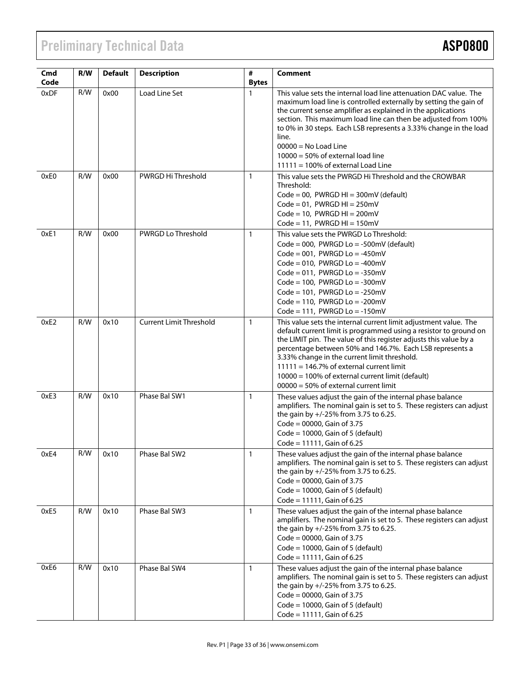# Preliminary Technical Data **ASP0800**

| Cmd<br>Code | R/W | <b>Default</b> | <b>Description</b>             | $\#$<br><b>Bytes</b> | Comment                                                                                                                                                                                                                                                                                                                                                                                                                                                              |  |  |
|-------------|-----|----------------|--------------------------------|----------------------|----------------------------------------------------------------------------------------------------------------------------------------------------------------------------------------------------------------------------------------------------------------------------------------------------------------------------------------------------------------------------------------------------------------------------------------------------------------------|--|--|
| 0xDF        | R/W | 0x00           | Load Line Set                  | 1                    | This value sets the internal load line attenuation DAC value. The<br>maximum load line is controlled externally by setting the gain of<br>the current sense amplifier as explained in the applications<br>section. This maximum load line can then be adjusted from 100%<br>to 0% in 30 steps. Each LSB represents a 3.33% change in the load<br>line.<br>$00000 = No$ Load Line<br>$10000 = 50\%$ of external load line<br>$11111 = 100\%$ of external Load Line    |  |  |
| 0xE0        | R/W | 0x00           | PWRGD Hi Threshold             | $\mathbf{1}$         | This value sets the PWRGD Hi Threshold and the CROWBAR<br>Threshold:<br>$Code = 00$ , PWRGD HI = 300mV (default)<br>$Code = 01$ , PWRGD HI = 250mV<br>$Code = 10$ , PWRGD HI = 200mV<br>$Code = 11$ , PWRGD HI = 150mV                                                                                                                                                                                                                                               |  |  |
| 0xE1        | R/W | 0x00           | <b>PWRGD Lo Threshold</b>      | $\mathbf{1}$         | This value sets the PWRGD Lo Threshold:<br>Code = 000, PWRGD Lo = -500mV (default)<br>Code = $001$ , PWRGD Lo = -450mV<br>Code = $010$ , PWRGD Lo = -400mV<br>Code = $011$ , PWRGD Lo = $-350$ mV<br>Code = $100$ , PWRGD Lo = $-300$ mV<br>Code = $101$ , PWRGD Lo = $-250$ mV<br>$Code = 110$ , PWRGD Lo = -200mV<br>Code = 111, PWRGD Lo = $-150$ mV                                                                                                              |  |  |
| 0xE2        | R/W | 0x10           | <b>Current Limit Threshold</b> | $\mathbf{1}$         | This value sets the internal current limit adjustment value. The<br>default current limit is programmed using a resistor to ground on<br>the LIMIT pin. The value of this register adjusts this value by a<br>percentage between 50% and 146.7%. Each LSB represents a<br>3.33% change in the current limit threshold.<br>$11111 = 146.7%$ of external current limit<br>10000 = 100% of external current limit (default)<br>$00000 = 50\%$ of external current limit |  |  |
| 0xE3        | R/W | 0x10           | Phase Bal SW1                  | $\mathbf{1}$         | These values adjust the gain of the internal phase balance<br>amplifiers. The nominal gain is set to 5. These registers can adjust<br>the gain by +/-25% from 3.75 to 6.25.<br>$Code = 00000$ , Gain of 3.75<br>Code = $10000$ , Gain of 5 (default)<br>$Code = 11111$ , Gain of 6.25                                                                                                                                                                                |  |  |
| 0xE4        | R/W | 0x10           | Phase Bal SW2                  | 1                    | These values adjust the gain of the internal phase balance<br>amplifiers. The nominal gain is set to 5. These registers can adjust<br>the gain by +/-25% from 3.75 to 6.25.<br>$Code = 00000$ , Gain of 3.75<br>Code = $10000$ , Gain of 5 (default)<br>$Code = 11111$ , Gain of 6.25                                                                                                                                                                                |  |  |
| 0xE5        | R/W | 0x10           | Phase Bal SW3                  | $\mathbf{1}$         | These values adjust the gain of the internal phase balance<br>amplifiers. The nominal gain is set to 5. These registers can adjust<br>the gain by +/-25% from 3.75 to 6.25.<br>$Code = 00000$ , Gain of 3.75<br>Code = $10000$ , Gain of 5 (default)<br>$Code = 11111$ , Gain of 6.25                                                                                                                                                                                |  |  |
| 0xE6        | R/W | 0x10           | Phase Bal SW4                  | $\mathbf{1}$         | These values adjust the gain of the internal phase balance<br>amplifiers. The nominal gain is set to 5. These registers can adjust<br>the gain by +/-25% from 3.75 to 6.25.<br>$Code = 00000$ , Gain of 3.75<br>Code = $10000$ , Gain of 5 (default)<br>$Code = 11111$ , Gain of 6.25                                                                                                                                                                                |  |  |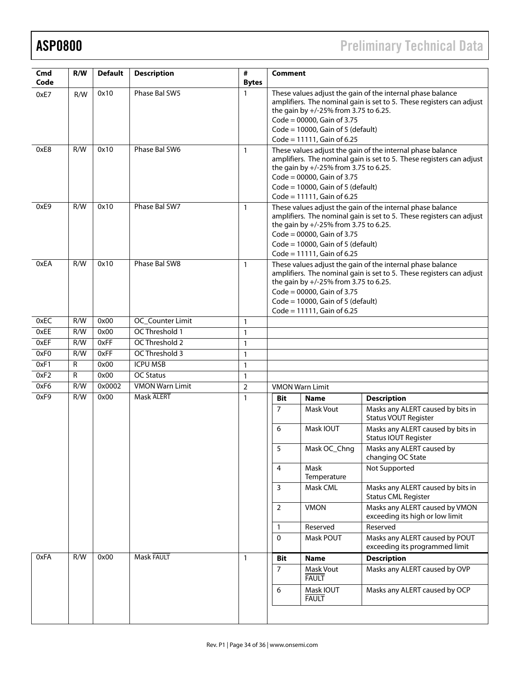ASP0800 Preliminary Technical Data

| Cmd<br>Code | R/W          | <b>Default</b> | <b>Description</b>     | #<br><b>Bytes</b> | <b>Comment</b>                                                                                                                                                                                                                                                                        |                           |                                                                   |  |  |
|-------------|--------------|----------------|------------------------|-------------------|---------------------------------------------------------------------------------------------------------------------------------------------------------------------------------------------------------------------------------------------------------------------------------------|---------------------------|-------------------------------------------------------------------|--|--|
| 0xE7        | R/W          | 0x10           | Phase Bal SW5          | $\mathbf{1}$      | These values adjust the gain of the internal phase balance<br>amplifiers. The nominal gain is set to 5. These registers can adjust<br>the gain by +/-25% from 3.75 to 6.25.<br>$Code = 00000$ , Gain of 3.75<br>Code = $10000$ , Gain of 5 (default)<br>$Code = 11111$ , Gain of 6.25 |                           |                                                                   |  |  |
| 0xE8        | R/W          | 0x10           | Phase Bal SW6          | $\mathbf{1}$      | These values adjust the gain of the internal phase balance<br>amplifiers. The nominal gain is set to 5. These registers can adjust<br>the gain by +/-25% from 3.75 to 6.25.<br>$Code = 00000$ , Gain of 3.75<br>Code = $10000$ , Gain of 5 (default)<br>$Code = 11111$ , Gain of 6.25 |                           |                                                                   |  |  |
| 0xE9        | R/W          | 0x10           | Phase Bal SW7          | $\mathbf{1}$      | These values adjust the gain of the internal phase balance<br>amplifiers. The nominal gain is set to 5. These registers can adjust<br>the gain by +/-25% from 3.75 to 6.25.<br>$Code = 00000$ , Gain of 3.75<br>Code = $10000$ , Gain of 5 (default)<br>$Code = 11111$ , Gain of 6.25 |                           |                                                                   |  |  |
| 0xEA        | R/W          | 0x10           | Phase Bal SW8          | $\mathbf{1}$      | These values adjust the gain of the internal phase balance<br>amplifiers. The nominal gain is set to 5. These registers can adjust<br>the gain by +/-25% from 3.75 to 6.25.<br>Code = $00000$ , Gain of 3.75<br>Code = $10000$ , Gain of 5 (default)<br>$Code = 11111$ , Gain of 6.25 |                           |                                                                   |  |  |
| 0xEC        | R/W          | 0x00           | OC_Counter Limit       | $\mathbf{1}$      |                                                                                                                                                                                                                                                                                       |                           |                                                                   |  |  |
| 0xEE        | R/W          | 0x00           | OC Threshold 1         | 1                 |                                                                                                                                                                                                                                                                                       |                           |                                                                   |  |  |
| 0xEF        | R/W          | 0xFF           | OC Threshold 2         | $\mathbf{1}$      |                                                                                                                                                                                                                                                                                       |                           |                                                                   |  |  |
| 0xF0        | R/W          | 0xFF           | OC Threshold 3         | $\mathbf{1}$      |                                                                                                                                                                                                                                                                                       |                           |                                                                   |  |  |
| 0xF1        | $\mathsf{R}$ | 0x00           | <b>ICPU MSB</b>        | $\mathbf{1}$      |                                                                                                                                                                                                                                                                                       |                           |                                                                   |  |  |
| 0xF2        | R            | 0x00           | <b>OC Status</b>       | $\mathbf{1}$      |                                                                                                                                                                                                                                                                                       |                           |                                                                   |  |  |
| 0xF6        | R/W          | 0x0002         | <b>VMON Warn Limit</b> | 2                 | <b>VMON Warn Limit</b>                                                                                                                                                                                                                                                                |                           |                                                                   |  |  |
| 0xF9        | R/W          | 0x00           | <b>Mask ALERT</b>      | $\mathbf{1}$      | Bit                                                                                                                                                                                                                                                                                   | <b>Name</b>               | <b>Description</b>                                                |  |  |
|             |              |                |                        |                   | 7                                                                                                                                                                                                                                                                                     | Mask Vout                 | Masks any ALERT caused by bits in<br><b>Status VOUT Register</b>  |  |  |
|             |              |                |                        |                   | 6                                                                                                                                                                                                                                                                                     | Mask IOUT                 | Masks any ALERT caused by bits in<br><b>Status IOUT Register</b>  |  |  |
|             |              |                |                        |                   | 5                                                                                                                                                                                                                                                                                     | Mask OC_Chng              | Masks any ALERT caused by<br>changing OC State                    |  |  |
|             |              |                |                        |                   | 4                                                                                                                                                                                                                                                                                     | Mask<br>Temperature       | Not Supported                                                     |  |  |
|             |              |                |                        |                   | 3                                                                                                                                                                                                                                                                                     | Mask CML                  | Masks any ALERT caused by bits in<br><b>Status CML Register</b>   |  |  |
|             |              |                |                        |                   | $\overline{2}$                                                                                                                                                                                                                                                                        | <b>VMON</b>               | Masks any ALERT caused by VMON<br>exceeding its high or low limit |  |  |
|             |              |                |                        |                   | $\mathbf{1}$                                                                                                                                                                                                                                                                          | Reserved                  | Reserved                                                          |  |  |
|             |              |                |                        |                   | $\mathbf 0$                                                                                                                                                                                                                                                                           | Mask POUT                 | Masks any ALERT caused by POUT<br>exceeding its programmed limit  |  |  |
| 0xFA        | R/W          | 0x00           | Mask FAULT             | $\mathbf{1}$      | Bit                                                                                                                                                                                                                                                                                   | <b>Name</b>               | <b>Description</b>                                                |  |  |
|             |              |                |                        |                   | $\overline{7}$                                                                                                                                                                                                                                                                        | Mask Vout<br><b>FAULT</b> | Masks any ALERT caused by OVP                                     |  |  |
|             |              |                |                        |                   | 6                                                                                                                                                                                                                                                                                     | Mask IOUT<br><b>FAULT</b> | Masks any ALERT caused by OCP                                     |  |  |
|             |              |                |                        |                   |                                                                                                                                                                                                                                                                                       |                           |                                                                   |  |  |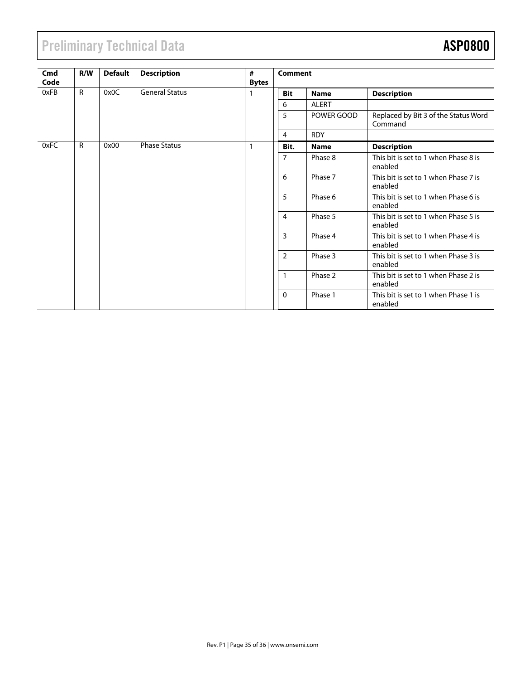# Preliminary Technical Data **ASP0800**

| Cmd<br>Code | R/W          | <b>Default</b> | <b>Description</b>    | #<br><b>Bytes</b> | <b>Comment</b> |              |                                                 |  |
|-------------|--------------|----------------|-----------------------|-------------------|----------------|--------------|-------------------------------------------------|--|
| 0xFB        | R            | 0x0C           | <b>General Status</b> |                   | <b>Bit</b>     | <b>Name</b>  | <b>Description</b>                              |  |
|             |              |                |                       |                   | 6              | <b>ALERT</b> |                                                 |  |
|             |              |                |                       |                   | 5              | POWER GOOD   | Replaced by Bit 3 of the Status Word<br>Command |  |
|             |              |                |                       |                   | $\overline{4}$ | <b>RDY</b>   |                                                 |  |
| 0xFC        | $\mathsf{R}$ | 0x00           | <b>Phase Status</b>   |                   | Bit.           | <b>Name</b>  | <b>Description</b>                              |  |
|             |              |                |                       |                   | $\overline{7}$ | Phase 8      | This bit is set to 1 when Phase 8 is<br>enabled |  |
|             |              |                |                       |                   | 6              | Phase 7      | This bit is set to 1 when Phase 7 is<br>enabled |  |
|             |              |                |                       |                   | 5              | Phase 6      | This bit is set to 1 when Phase 6 is<br>enabled |  |
|             |              |                |                       |                   | $\overline{4}$ | Phase 5      | This bit is set to 1 when Phase 5 is<br>enabled |  |
|             |              |                |                       |                   | 3              | Phase 4      | This bit is set to 1 when Phase 4 is<br>enabled |  |
|             |              |                |                       |                   | $\overline{2}$ | Phase 3      | This bit is set to 1 when Phase 3 is<br>enabled |  |
|             |              |                |                       |                   | $\mathbf{1}$   | Phase 2      | This bit is set to 1 when Phase 2 is<br>enabled |  |
|             |              |                |                       |                   | 0              | Phase 1      | This bit is set to 1 when Phase 1 is<br>enabled |  |